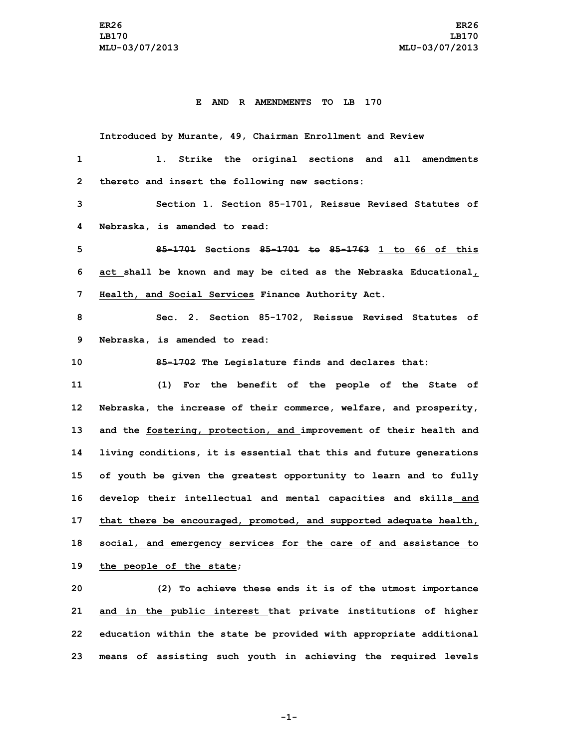### **E AND R AMENDMENTS TO LB 170**

**Introduced by Murante, 49, Chairman Enrollment and Review 1. Strike the original sections and all amendments thereto and insert the following new sections: Section 1. Section 85-1701, Reissue Revised Statutes of Nebraska, is amended to read: 85-1701 Sections 85-1701 to 85-1763 1 to 66 of this act shall be known and may be cited as the Nebraska Educational, Health, and Social Services Finance Authority Act. Sec. 2. Section 85-1702, Reissue Revised Statutes of Nebraska, is amended to read: 85-1702 The Legislature finds and declares that: (1) For the benefit of the people of the State of Nebraska, the increase of their commerce, welfare, and prosperity, and the fostering, protection, and improvement of their health and living conditions, it is essential that this and future generations of youth be given the greatest opportunity to learn and to fully develop their intellectual and mental capacities and skills and that there be encouraged, promoted, and supported adequate health, social, and emergency services for the care of and assistance to the people of the state; (2) To achieve these ends it is of the utmost importance and in the public interest that private institutions of higher**

**-1-**

**22 education within the state be provided with appropriate additional**

**23 means of assisting such youth in achieving the required levels**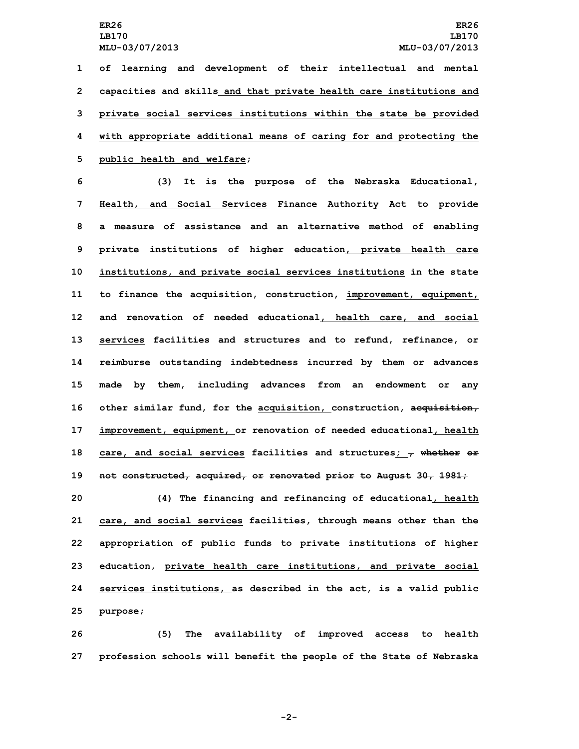**of learning and development of their intellectual and mental capacities and skills and that private health care institutions and private social services institutions within the state be provided with appropriate additional means of caring for and protecting the public health and welfare;**

 **(3) It is the purpose of the Nebraska Educational, Health, and Social Services Finance Authority Act to provide <sup>a</sup> measure of assistance and an alternative method of enabling private institutions of higher education, private health care institutions, and private social services institutions in the state to finance the acquisition, construction, improvement, equipment, and renovation of needed educational, health care, and social services facilities and structures and to refund, refinance, or reimburse outstanding indebtedness incurred by them or advances made by them, including advances from an endowment or any other similar fund, for the acquisition, construction, acquisition, improvement, equipment, or renovation of needed educational, health care, and social services facilities and structures; , whether or not constructed, acquired, or renovated prior to August 30, 1981;**

 **(4) The financing and refinancing of educational, health care, and social services facilities, through means other than the appropriation of public funds to private institutions of higher education, private health care institutions, and private social services institutions, as described in the act, is <sup>a</sup> valid public 25 purpose;**

**26 (5) The availability of improved access to health 27 profession schools will benefit the people of the State of Nebraska**

**-2-**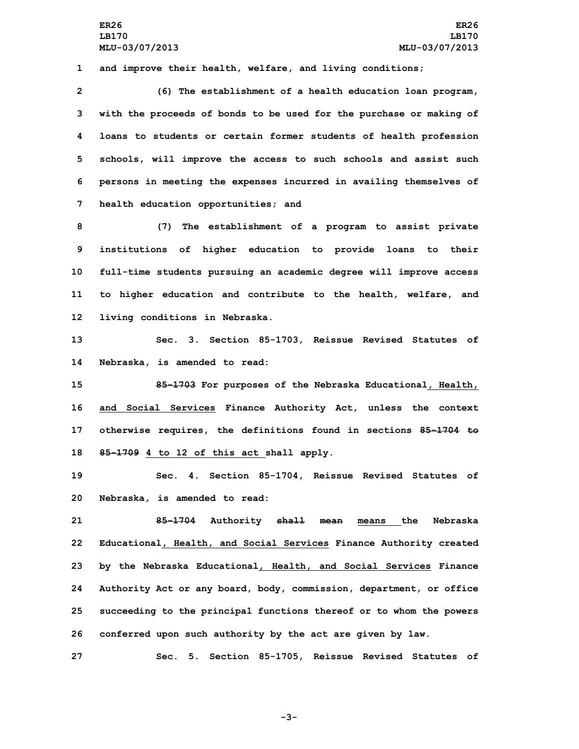**1 and improve their health, welfare, and living conditions;**

 **(6) The establishment of <sup>a</sup> health education loan program, with the proceeds of bonds to be used for the purchase or making of loans to students or certain former students of health profession schools, will improve the access to such schools and assist such persons in meeting the expenses incurred in availing themselves of health education opportunities; and**

 **(7) The establishment of <sup>a</sup> program to assist private institutions of higher education to provide loans to their full-time students pursuing an academic degree will improve access to higher education and contribute to the health, welfare, and living conditions in Nebraska.**

**13 Sec. 3. Section 85-1703, Reissue Revised Statutes of 14 Nebraska, is amended to read:**

 **85-1703 For purposes of the Nebraska Educational, Health, and Social Services Finance Authority Act, unless the context otherwise requires, the definitions found in sections 85-1704 to 85-1709 4 to 12 of this act shall apply.**

**19 Sec. 4. Section 85-1704, Reissue Revised Statutes of 20 Nebraska, is amended to read:**

 **85-1704 Authority shall mean means the Nebraska Educational, Health, and Social Services Finance Authority created by the Nebraska Educational, Health, and Social Services Finance Authority Act or any board, body, commission, department, or office succeeding to the principal functions thereof or to whom the powers conferred upon such authority by the act are given by law.**

**27 Sec. 5. Section 85-1705, Reissue Revised Statutes of**

**-3-**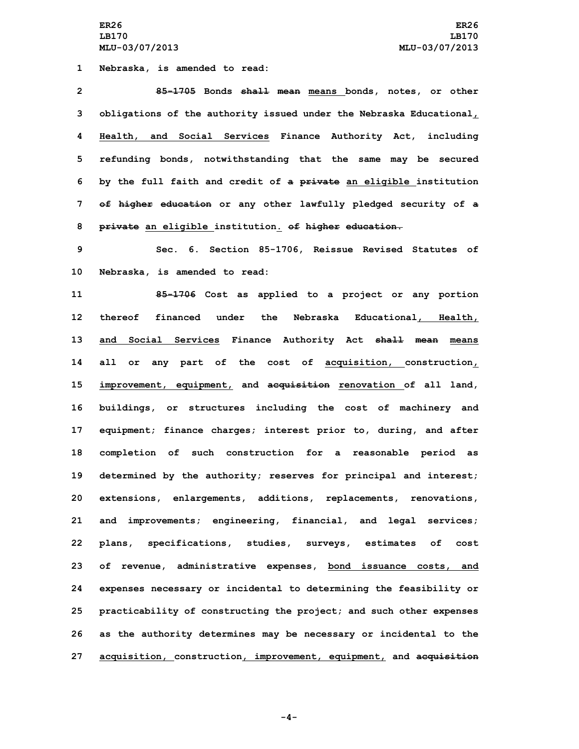**1 Nebraska, is amended to read:**

 **85-1705 Bonds shall mean means bonds, notes, or other obligations of the authority issued under the Nebraska Educational, Health, and Social Services Finance Authority Act, including refunding bonds, notwithstanding that the same may be secured by the full faith and credit of <sup>a</sup> private an eligible institution of higher education or any other lawfully pledged security of <sup>a</sup> private an eligible institution. of higher education.**

**9 Sec. 6. Section 85-1706, Reissue Revised Statutes of 10 Nebraska, is amended to read:**

 **85-1706 Cost as applied to <sup>a</sup> project or any portion thereof financed under the Nebraska Educational, Health, and Social Services Finance Authority Act shall mean means all or any part of the cost of acquisition, construction, improvement, equipment, and acquisition renovation of all land, buildings, or structures including the cost of machinery and equipment; finance charges; interest prior to, during, and after completion of such construction for <sup>a</sup> reasonable period as determined by the authority; reserves for principal and interest; extensions, enlargements, additions, replacements, renovations, and improvements; engineering, financial, and legal services; plans, specifications, studies, surveys, estimates of cost of revenue, administrative expenses, bond issuance costs, and expenses necessary or incidental to determining the feasibility or practicability of constructing the project; and such other expenses as the authority determines may be necessary or incidental to the acquisition, construction, improvement, equipment, and acquisition**

**-4-**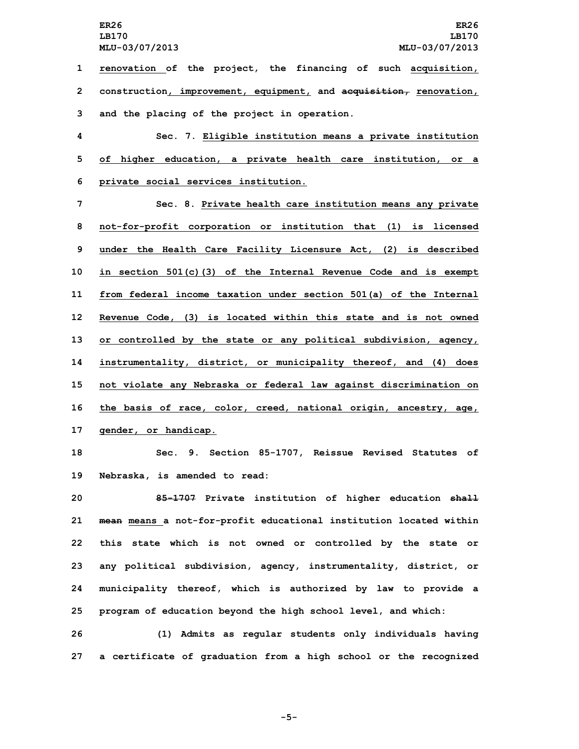**1 renovation of the project, the financing of such acquisition, 2 construction, improvement, equipment, and acquisition, renovation, 3 and the placing of the project in operation.**

**4 Sec. 7. Eligible institution means <sup>a</sup> private institution 5 of higher education, <sup>a</sup> private health care institution, or <sup>a</sup> 6 private social services institution.**

 **Sec. 8. Private health care institution means any private not-for-profit corporation or institution that (1) is licensed under the Health Care Facility Licensure Act, (2) is described in section 501(c)(3) of the Internal Revenue Code and is exempt from federal income taxation under section 501(a) of the Internal Revenue Code, (3) is located within this state and is not owned or controlled by the state or any political subdivision, agency, instrumentality, district, or municipality thereof, and (4) does not violate any Nebraska or federal law against discrimination on the basis of race, color, creed, national origin, ancestry, age, gender, or handicap.**

**18 Sec. 9. Section 85-1707, Reissue Revised Statutes of 19 Nebraska, is amended to read:**

 **85-1707 Private institution of higher education shall mean means <sup>a</sup> not-for-profit educational institution located within this state which is not owned or controlled by the state or any political subdivision, agency, instrumentality, district, or municipality thereof, which is authorized by law to provide <sup>a</sup> program of education beyond the high school level, and which:**

**26 (1) Admits as regular students only individuals having 27 <sup>a</sup> certificate of graduation from <sup>a</sup> high school or the recognized**

**-5-**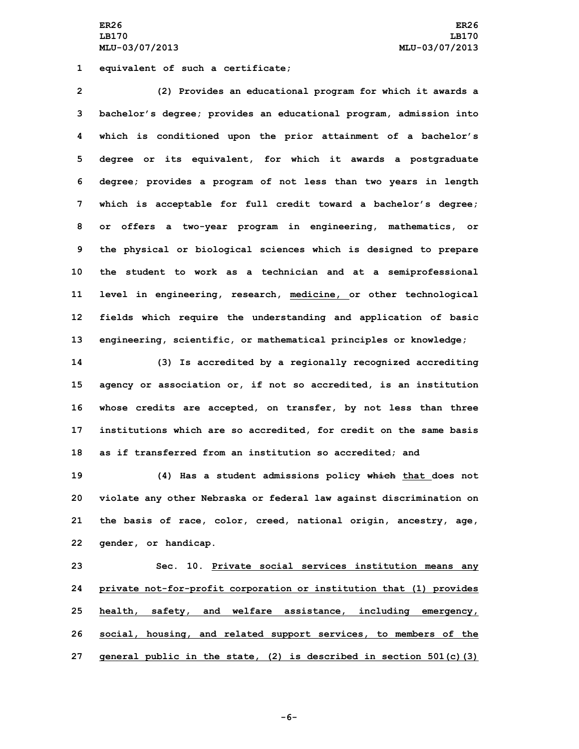**ER26 ER26 LB170 LB170 MLU-03/07/2013 MLU-03/07/2013**

**1 equivalent of such <sup>a</sup> certificate;**

 **(2) Provides an educational program for which it awards <sup>a</sup> bachelor's degree; provides an educational program, admission into which is conditioned upon the prior attainment of <sup>a</sup> bachelor's degree or its equivalent, for which it awards <sup>a</sup> postgraduate degree; provides <sup>a</sup> program of not less than two years in length which is acceptable for full credit toward <sup>a</sup> bachelor's degree; or offers <sup>a</sup> two-year program in engineering, mathematics, or the physical or biological sciences which is designed to prepare the student to work as <sup>a</sup> technician and at <sup>a</sup> semiprofessional level in engineering, research, medicine, or other technological fields which require the understanding and application of basic engineering, scientific, or mathematical principles or knowledge;**

 **(3) Is accredited by <sup>a</sup> regionally recognized accrediting agency or association or, if not so accredited, is an institution whose credits are accepted, on transfer, by not less than three institutions which are so accredited, for credit on the same basis as if transferred from an institution so accredited; and**

 **(4) Has <sup>a</sup> student admissions policy which that does not violate any other Nebraska or federal law against discrimination on the basis of race, color, creed, national origin, ancestry, age, gender, or handicap.**

 **Sec. 10. Private social services institution means any private not-for-profit corporation or institution that (1) provides health, safety, and welfare assistance, including emergency, social, housing, and related support services, to members of the general public in the state, (2) is described in section 501(c)(3)**

**-6-**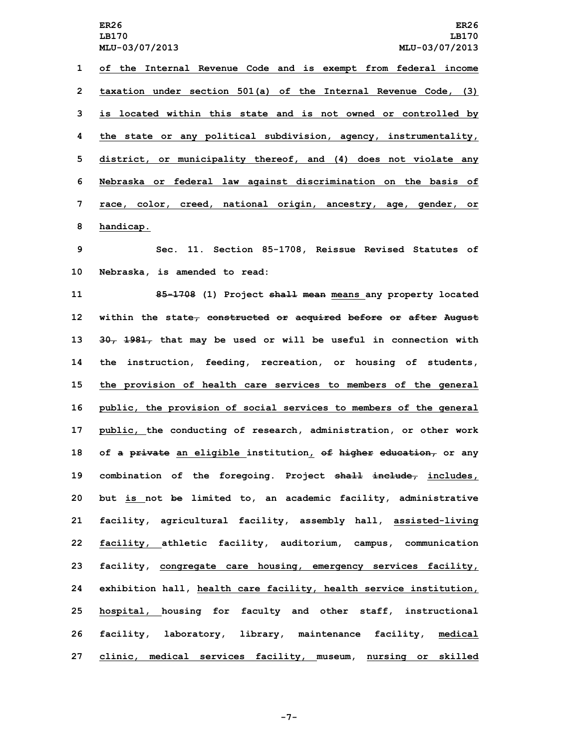**of the Internal Revenue Code and is exempt from federal income taxation under section 501(a) of the Internal Revenue Code, (3) is located within this state and is not owned or controlled by the state or any political subdivision, agency, instrumentality, district, or municipality thereof, and (4) does not violate any Nebraska or federal law against discrimination on the basis of race, color, creed, national origin, ancestry, age, gender, or handicap.**

**9 Sec. 11. Section 85-1708, Reissue Revised Statutes of 10 Nebraska, is amended to read:**

 **85-1708 (1) Project shall mean means any property located within the state, constructed or acquired before or after August 30, 1981, that may be used or will be useful in connection with the instruction, feeding, recreation, or housing of students, the provision of health care services to members of the general public, the provision of social services to members of the general public, the conducting of research, administration, or other work of <sup>a</sup> private an eligible institution, of higher education, or any combination of the foregoing. Project shall include, includes, but is not be limited to, an academic facility, administrative facility, agricultural facility, assembly hall, assisted-living facility, athletic facility, auditorium, campus, communication facility, congregate care housing, emergency services facility, exhibition hall, health care facility, health service institution, hospital, housing for faculty and other staff, instructional facility, laboratory, library, maintenance facility, medical clinic, medical services facility, museum, nursing or skilled**

**-7-**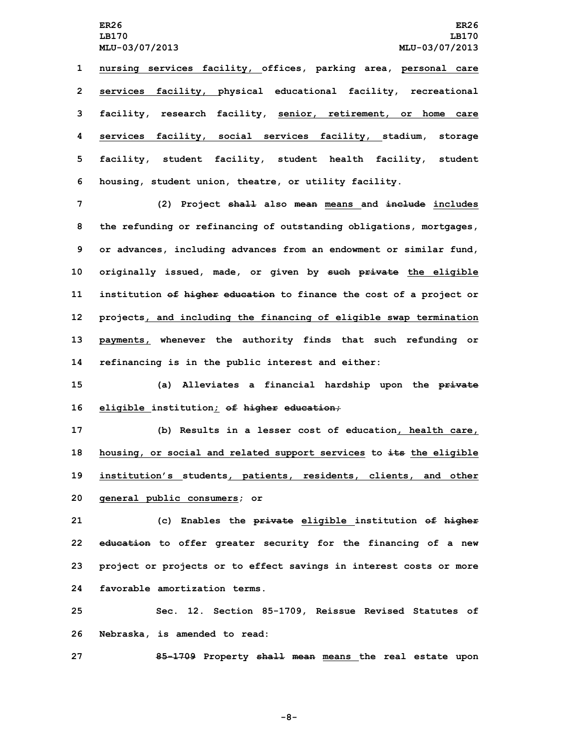**LB170 LB170**

 **nursing services facility, offices, parking area, personal care services facility, physical educational facility, recreational facility, research facility, senior, retirement, or home care services facility, social services facility, stadium, storage facility, student facility, student health facility, student housing, student union, theatre, or utility facility.**

 **(2) Project shall also mean means and include includes the refunding or refinancing of outstanding obligations, mortgages, or advances, including advances from an endowment or similar fund, originally issued, made, or given by such private the eligible institution of higher education to finance the cost of <sup>a</sup> project or projects, and including the financing of eligible swap termination payments, whenever the authority finds that such refunding or refinancing is in the public interest and either:**

**15 (a) Alleviates <sup>a</sup> financial hardship upon the private 16 eligible institution; of higher education;**

 **(b) Results in <sup>a</sup> lesser cost of education, health care, housing, or social and related support services to its the eligible institution's students, patients, residents, clients, and other general public consumers; or**

 **(c) Enables the private eligible institution of higher education to offer greater security for the financing of <sup>a</sup> new project or projects or to effect savings in interest costs or more favorable amortization terms.**

**25 Sec. 12. Section 85-1709, Reissue Revised Statutes of 26 Nebraska, is amended to read:**

**27 85-1709 Property shall mean means the real estate upon**

**-8-**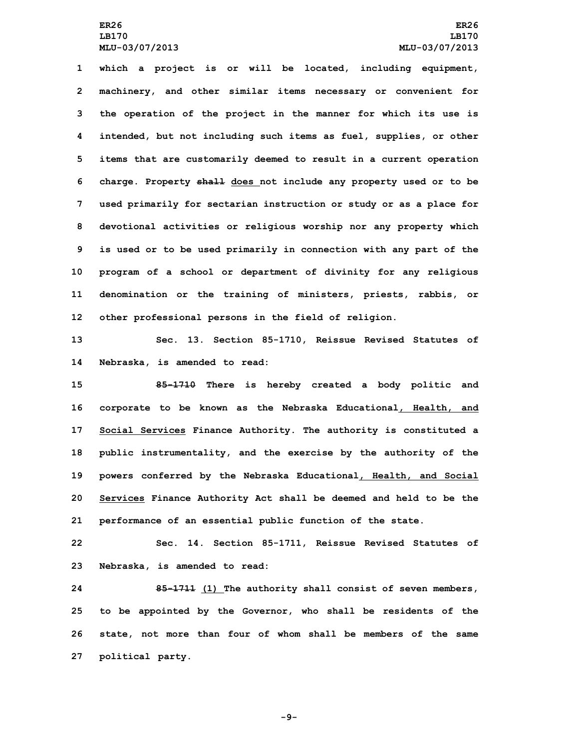**which <sup>a</sup> project is or will be located, including equipment, machinery, and other similar items necessary or convenient for the operation of the project in the manner for which its use is intended, but not including such items as fuel, supplies, or other items that are customarily deemed to result in <sup>a</sup> current operation charge. Property shall does not include any property used or to be used primarily for sectarian instruction or study or as <sup>a</sup> place for devotional activities or religious worship nor any property which is used or to be used primarily in connection with any part of the program of <sup>a</sup> school or department of divinity for any religious denomination or the training of ministers, priests, rabbis, or other professional persons in the field of religion.**

**13 Sec. 13. Section 85-1710, Reissue Revised Statutes of 14 Nebraska, is amended to read:**

 **85-1710 There is hereby created <sup>a</sup> body politic and corporate to be known as the Nebraska Educational, Health, and Social Services Finance Authority. The authority is constituted <sup>a</sup> public instrumentality, and the exercise by the authority of the powers conferred by the Nebraska Educational, Health, and Social Services Finance Authority Act shall be deemed and held to be the performance of an essential public function of the state.**

**22 Sec. 14. Section 85-1711, Reissue Revised Statutes of 23 Nebraska, is amended to read:**

 **85-1711 (1) The authority shall consist of seven members, to be appointed by the Governor, who shall be residents of the state, not more than four of whom shall be members of the same political party.**

**-9-**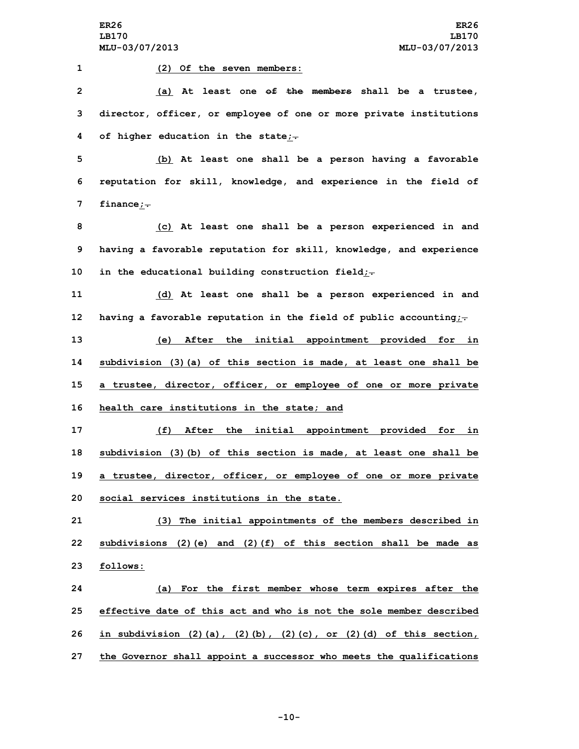**(2) Of the seven members: (a) At least one of the members shall be <sup>a</sup> trustee, director, officer, or employee of one or more private institutions of higher education in the state;. (b) At least one shall be <sup>a</sup> person having <sup>a</sup> favorable reputation for skill, knowledge, and experience in the field of finance;. (c) At least one shall be <sup>a</sup> person experienced in and having <sup>a</sup> favorable reputation for skill, knowledge, and experience in the educational building construction field;. (d) At least one shall be <sup>a</sup> person experienced in and having <sup>a</sup> favorable reputation in the field of public accounting;. (e) After the initial appointment provided for in subdivision (3)(a) of this section is made, at least one shall be <sup>a</sup> trustee, director, officer, or employee of one or more private health care institutions in the state; and (f) After the initial appointment provided for in subdivision (3)(b) of this section is made, at least one shall be <sup>a</sup> trustee, director, officer, or employee of one or more private social services institutions in the state. (3) The initial appointments of the members described in subdivisions (2)(e) and (2)(f) of this section shall be made as 23 follows: (a) For the first member whose term expires after the effective date of this act and who is not the sole member described in subdivision (2)(a), (2)(b), (2)(c), or (2)(d) of this section,**

**27 the Governor shall appoint <sup>a</sup> successor who meets the qualifications**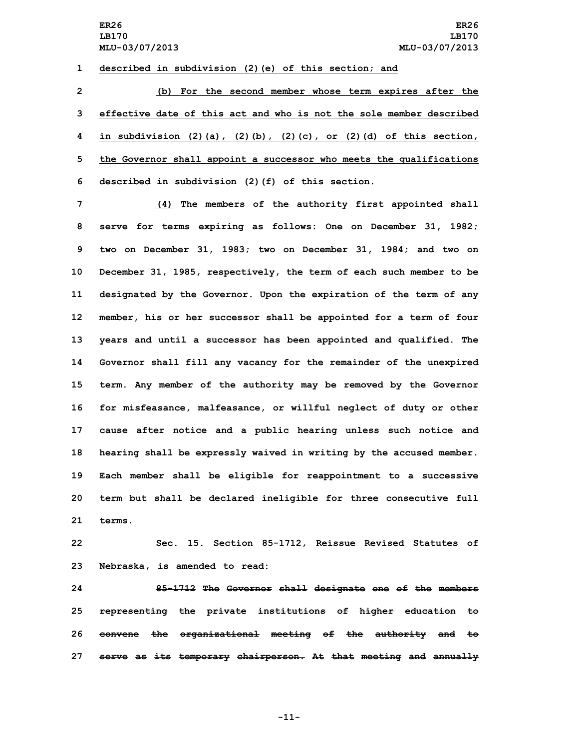**1 described in subdivision (2)(e) of this section; and**

 **(b) For the second member whose term expires after the effective date of this act and who is not the sole member described in subdivision (2)(a), (2)(b), (2)(c), or (2)(d) of this section, the Governor shall appoint <sup>a</sup> successor who meets the qualifications described in subdivision (2)(f) of this section.**

 **(4) The members of the authority first appointed shall serve for terms expiring as follows: One on December 31, 1982; two on December 31, 1983; two on December 31, 1984; and two on December 31, 1985, respectively, the term of each such member to be designated by the Governor. Upon the expiration of the term of any member, his or her successor shall be appointed for <sup>a</sup> term of four years and until <sup>a</sup> successor has been appointed and qualified. The Governor shall fill any vacancy for the remainder of the unexpired term. Any member of the authority may be removed by the Governor for misfeasance, malfeasance, or willful neglect of duty or other cause after notice and <sup>a</sup> public hearing unless such notice and hearing shall be expressly waived in writing by the accused member. Each member shall be eligible for reappointment to <sup>a</sup> successive term but shall be declared ineligible for three consecutive full 21 terms.**

**22 Sec. 15. Section 85-1712, Reissue Revised Statutes of 23 Nebraska, is amended to read:**

 **85-1712 The Governor shall designate one of the members representing the private institutions of higher education to convene the organizational meeting of the authority and to serve as its temporary chairperson. At that meeting and annually**

**-11-**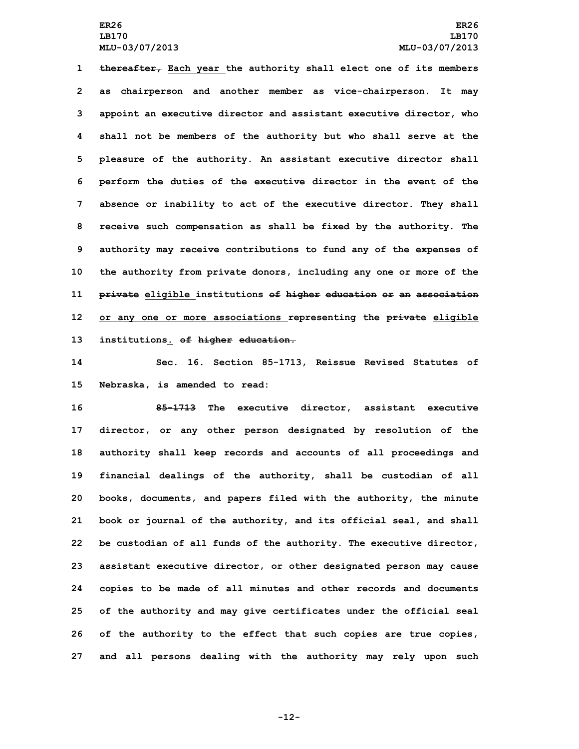**thereafter, Each year the authority shall elect one of its members as chairperson and another member as vice-chairperson. It may appoint an executive director and assistant executive director, who shall not be members of the authority but who shall serve at the pleasure of the authority. An assistant executive director shall perform the duties of the executive director in the event of the absence or inability to act of the executive director. They shall receive such compensation as shall be fixed by the authority. The authority may receive contributions to fund any of the expenses of the authority from private donors, including any one or more of the private eligible institutions of higher education or an association or any one or more associations representing the private eligible institutions. of higher education.**

**14 Sec. 16. Section 85-1713, Reissue Revised Statutes of 15 Nebraska, is amended to read:**

 **85-1713 The executive director, assistant executive director, or any other person designated by resolution of the authority shall keep records and accounts of all proceedings and financial dealings of the authority, shall be custodian of all books, documents, and papers filed with the authority, the minute book or journal of the authority, and its official seal, and shall be custodian of all funds of the authority. The executive director, assistant executive director, or other designated person may cause copies to be made of all minutes and other records and documents of the authority and may give certificates under the official seal of the authority to the effect that such copies are true copies, and all persons dealing with the authority may rely upon such**

**-12-**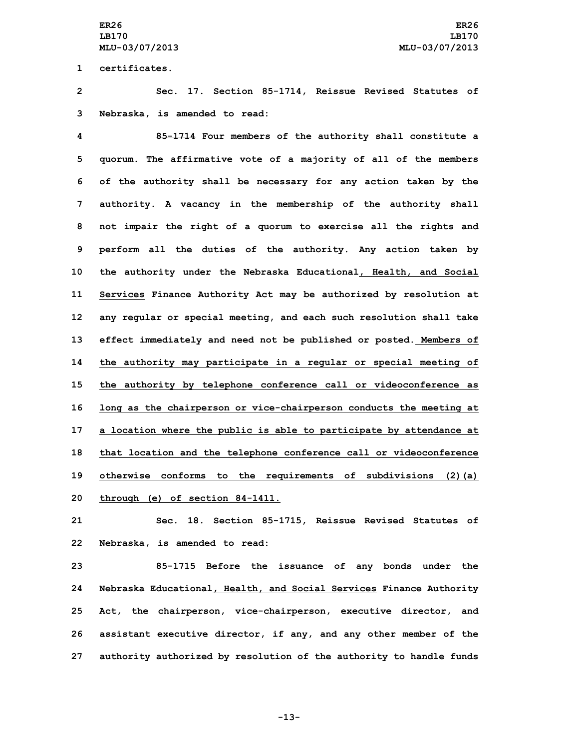**1 certificates.**

**2 Sec. 17. Section 85-1714, Reissue Revised Statutes of 3 Nebraska, is amended to read:**

 **85-1714 Four members of the authority shall constitute <sup>a</sup> quorum. The affirmative vote of <sup>a</sup> majority of all of the members of the authority shall be necessary for any action taken by the authority. A vacancy in the membership of the authority shall not impair the right of <sup>a</sup> quorum to exercise all the rights and perform all the duties of the authority. Any action taken by the authority under the Nebraska Educational, Health, and Social Services Finance Authority Act may be authorized by resolution at any regular or special meeting, and each such resolution shall take effect immediately and need not be published or posted. Members of the authority may participate in <sup>a</sup> regular or special meeting of the authority by telephone conference call or videoconference as long as the chairperson or vice-chairperson conducts the meeting at <sup>a</sup> location where the public is able to participate by attendance at that location and the telephone conference call or videoconference otherwise conforms to the requirements of subdivisions (2)(a) through (e) of section 84-1411.**

**21 Sec. 18. Section 85-1715, Reissue Revised Statutes of 22 Nebraska, is amended to read:**

 **85-1715 Before the issuance of any bonds under the Nebraska Educational, Health, and Social Services Finance Authority Act, the chairperson, vice-chairperson, executive director, and assistant executive director, if any, and any other member of the authority authorized by resolution of the authority to handle funds**

**-13-**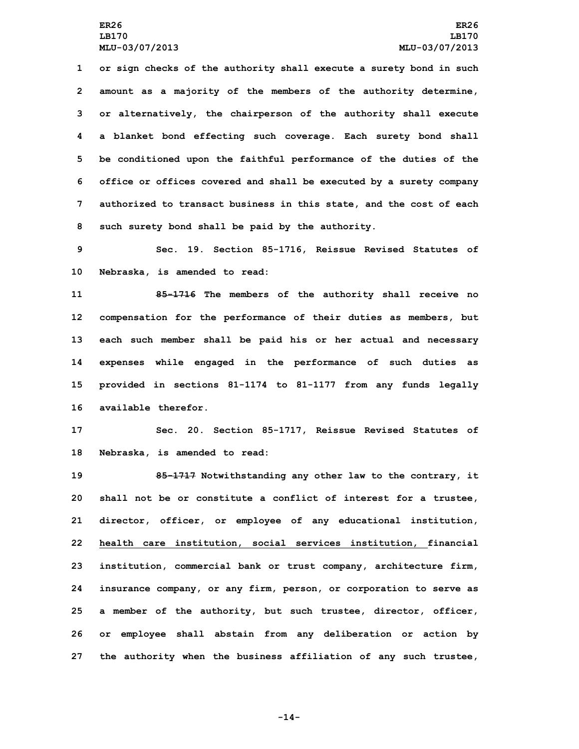**or sign checks of the authority shall execute <sup>a</sup> surety bond in such amount as <sup>a</sup> majority of the members of the authority determine, or alternatively, the chairperson of the authority shall execute <sup>a</sup> blanket bond effecting such coverage. Each surety bond shall be conditioned upon the faithful performance of the duties of the office or offices covered and shall be executed by <sup>a</sup> surety company authorized to transact business in this state, and the cost of each such surety bond shall be paid by the authority.**

**9 Sec. 19. Section 85-1716, Reissue Revised Statutes of 10 Nebraska, is amended to read:**

 **85-1716 The members of the authority shall receive no compensation for the performance of their duties as members, but each such member shall be paid his or her actual and necessary expenses while engaged in the performance of such duties as provided in sections 81-1174 to 81-1177 from any funds legally available therefor.**

**17 Sec. 20. Section 85-1717, Reissue Revised Statutes of 18 Nebraska, is amended to read:**

 **85-1717 Notwithstanding any other law to the contrary, it shall not be or constitute <sup>a</sup> conflict of interest for <sup>a</sup> trustee, director, officer, or employee of any educational institution, health care institution, social services institution, financial institution, commercial bank or trust company, architecture firm, insurance company, or any firm, person, or corporation to serve as <sup>a</sup> member of the authority, but such trustee, director, officer, or employee shall abstain from any deliberation or action by the authority when the business affiliation of any such trustee,**

**-14-**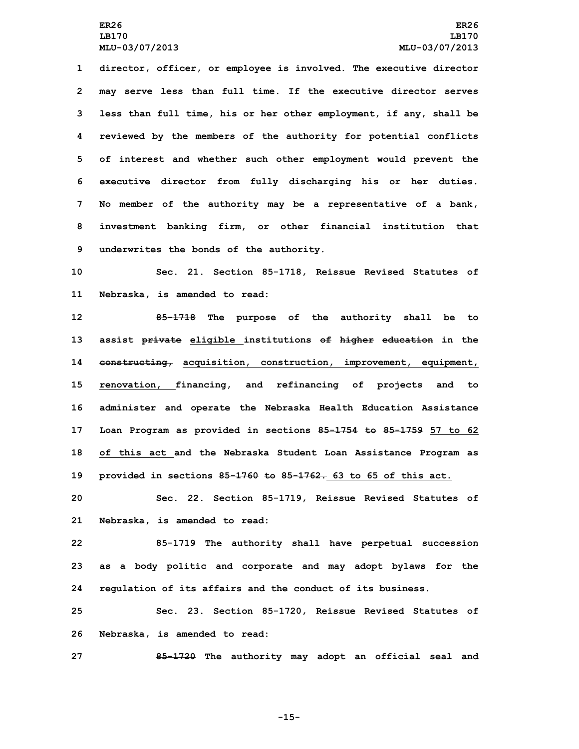**director, officer, or employee is involved. The executive director may serve less than full time. If the executive director serves less than full time, his or her other employment, if any, shall be reviewed by the members of the authority for potential conflicts of interest and whether such other employment would prevent the executive director from fully discharging his or her duties. No member of the authority may be <sup>a</sup> representative of <sup>a</sup> bank, investment banking firm, or other financial institution that underwrites the bonds of the authority.**

**10 Sec. 21. Section 85-1718, Reissue Revised Statutes of 11 Nebraska, is amended to read:**

 **85-1718 The purpose of the authority shall be to assist private eligible institutions of higher education in the constructing, acquisition, construction, improvement, equipment, renovation, financing, and refinancing of projects and to administer and operate the Nebraska Health Education Assistance Loan Program as provided in sections 85-1754 to 85-1759 57 to 62 of this act and the Nebraska Student Loan Assistance Program as provided in sections 85-1760 to 85-1762. 63 to 65 of this act.**

**20 Sec. 22. Section 85-1719, Reissue Revised Statutes of 21 Nebraska, is amended to read:**

**22 85-1719 The authority shall have perpetual succession 23 as <sup>a</sup> body politic and corporate and may adopt bylaws for the 24 regulation of its affairs and the conduct of its business.**

**25 Sec. 23. Section 85-1720, Reissue Revised Statutes of 26 Nebraska, is amended to read:**

**27 85-1720 The authority may adopt an official seal and**

**-15-**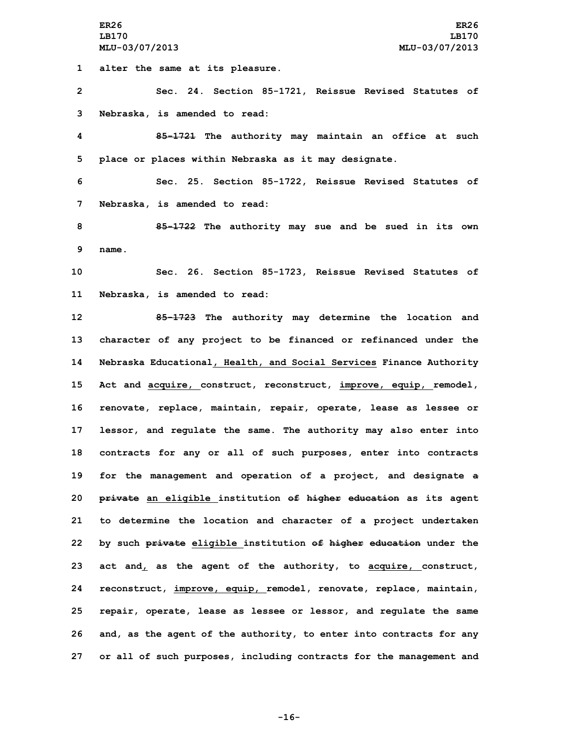**1 alter the same at its pleasure.**

**2 Sec. 24. Section 85-1721, Reissue Revised Statutes of 3 Nebraska, is amended to read:**

**4 85-1721 The authority may maintain an office at such 5 place or places within Nebraska as it may designate.**

**6 Sec. 25. Section 85-1722, Reissue Revised Statutes of 7 Nebraska, is amended to read:**

**8 85-1722 The authority may sue and be sued in its own 9 name.**

**10 Sec. 26. Section 85-1723, Reissue Revised Statutes of 11 Nebraska, is amended to read:**

 **85-1723 The authority may determine the location and character of any project to be financed or refinanced under the Nebraska Educational, Health, and Social Services Finance Authority Act and acquire, construct, reconstruct, improve, equip, remodel, renovate, replace, maintain, repair, operate, lease as lessee or lessor, and regulate the same. The authority may also enter into contracts for any or all of such purposes, enter into contracts for the management and operation of <sup>a</sup> project, and designate <sup>a</sup> private an eligible institution of higher education as its agent to determine the location and character of <sup>a</sup> project undertaken by such private eligible institution of higher education under the act and, as the agent of the authority, to acquire, construct, reconstruct, improve, equip, remodel, renovate, replace, maintain, repair, operate, lease as lessee or lessor, and regulate the same and, as the agent of the authority, to enter into contracts for any or all of such purposes, including contracts for the management and**

**-16-**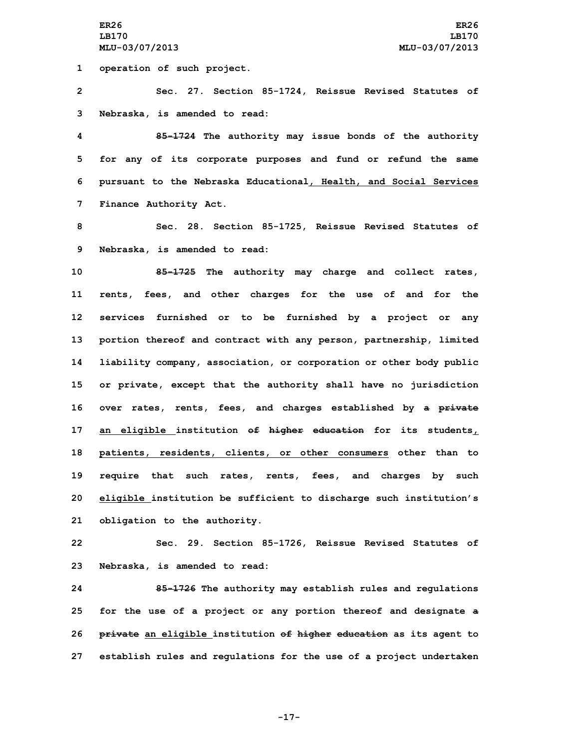**1 operation of such project.**

**2 Sec. 27. Section 85-1724, Reissue Revised Statutes of 3 Nebraska, is amended to read:**

 **85-1724 The authority may issue bonds of the authority for any of its corporate purposes and fund or refund the same pursuant to the Nebraska Educational, Health, and Social Services Finance Authority Act.**

**8 Sec. 28. Section 85-1725, Reissue Revised Statutes of 9 Nebraska, is amended to read:**

 **85-1725 The authority may charge and collect rates, rents, fees, and other charges for the use of and for the services furnished or to be furnished by <sup>a</sup> project or any portion thereof and contract with any person, partnership, limited liability company, association, or corporation or other body public or private, except that the authority shall have no jurisdiction over rates, rents, fees, and charges established by <sup>a</sup> private an eligible institution of higher education for its students, patients, residents, clients, or other consumers other than to require that such rates, rents, fees, and charges by such eligible institution be sufficient to discharge such institution's obligation to the authority.**

**22 Sec. 29. Section 85-1726, Reissue Revised Statutes of 23 Nebraska, is amended to read:**

 **85-1726 The authority may establish rules and regulations for the use of <sup>a</sup> project or any portion thereof and designate <sup>a</sup> private an eligible institution of higher education as its agent to establish rules and regulations for the use of <sup>a</sup> project undertaken**

**-17-**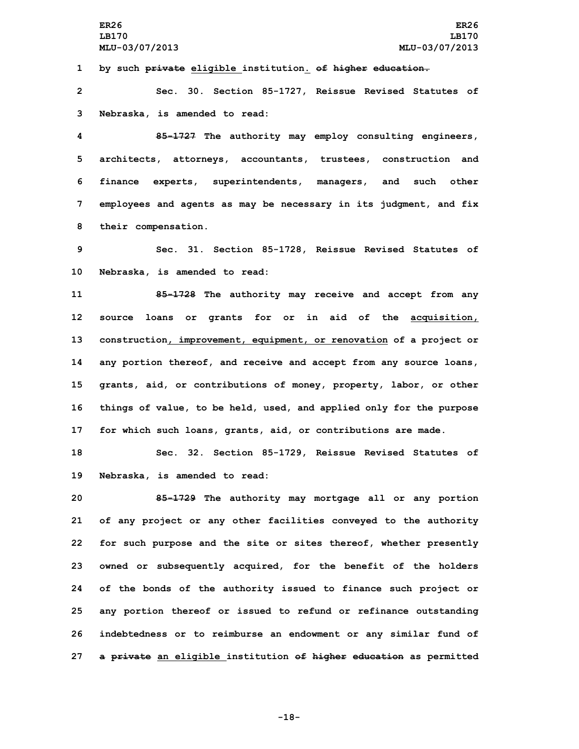**1 by such private eligible institution. of higher education.**

**2 Sec. 30. Section 85-1727, Reissue Revised Statutes of 3 Nebraska, is amended to read:**

 **85-1727 The authority may employ consulting engineers, architects, attorneys, accountants, trustees, construction and finance experts, superintendents, managers, and such other employees and agents as may be necessary in its judgment, and fix their compensation.**

**9 Sec. 31. Section 85-1728, Reissue Revised Statutes of 10 Nebraska, is amended to read:**

 **85-1728 The authority may receive and accept from any source loans or grants for or in aid of the acquisition, construction, improvement, equipment, or renovation of <sup>a</sup> project or any portion thereof, and receive and accept from any source loans, grants, aid, or contributions of money, property, labor, or other things of value, to be held, used, and applied only for the purpose for which such loans, grants, aid, or contributions are made.**

**18 Sec. 32. Section 85-1729, Reissue Revised Statutes of 19 Nebraska, is amended to read:**

 **85-1729 The authority may mortgage all or any portion of any project or any other facilities conveyed to the authority for such purpose and the site or sites thereof, whether presently owned or subsequently acquired, for the benefit of the holders of the bonds of the authority issued to finance such project or any portion thereof or issued to refund or refinance outstanding indebtedness or to reimburse an endowment or any similar fund of <sup>a</sup> private an eligible institution of higher education as permitted**

**-18-**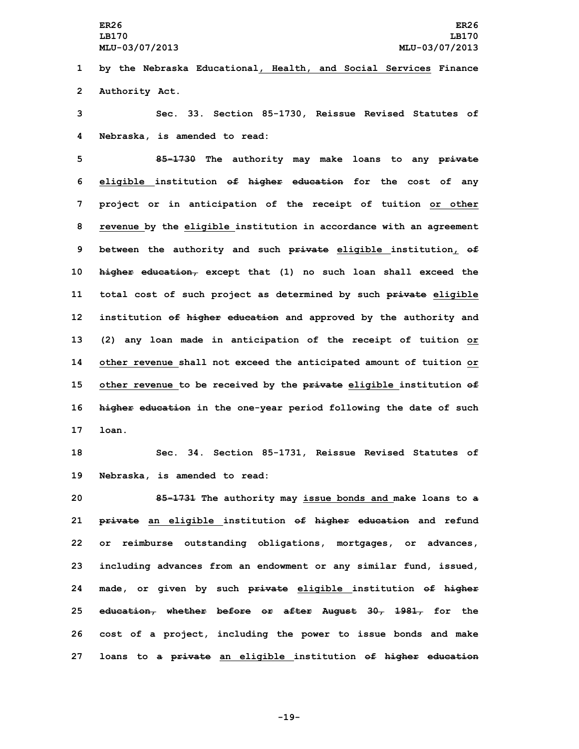**LB170 LB170**

**1 by the Nebraska Educational, Health, and Social Services Finance 2 Authority Act.**

**3 Sec. 33. Section 85-1730, Reissue Revised Statutes of 4 Nebraska, is amended to read:**

 **85-1730 The authority may make loans to any private eligible institution of higher education for the cost of any project or in anticipation of the receipt of tuition or other revenue by the eligible institution in accordance with an agreement between the authority and such private eligible institution, of higher education, except that (1) no such loan shall exceed the total cost of such project as determined by such private eligible institution of higher education and approved by the authority and (2) any loan made in anticipation of the receipt of tuition or other revenue shall not exceed the anticipated amount of tuition or other revenue to be received by the private eligible institution of higher education in the one-year period following the date of such 17 loan.**

**18 Sec. 34. Section 85-1731, Reissue Revised Statutes of 19 Nebraska, is amended to read:**

 **85-1731 The authority may issue bonds and make loans to <sup>a</sup> private an eligible institution of higher education and refund or reimburse outstanding obligations, mortgages, or advances, including advances from an endowment or any similar fund, issued, made, or given by such private eligible institution of higher education, whether before or after August 30, 1981, for the cost of <sup>a</sup> project, including the power to issue bonds and make loans to <sup>a</sup> private an eligible institution of higher education**

**-19-**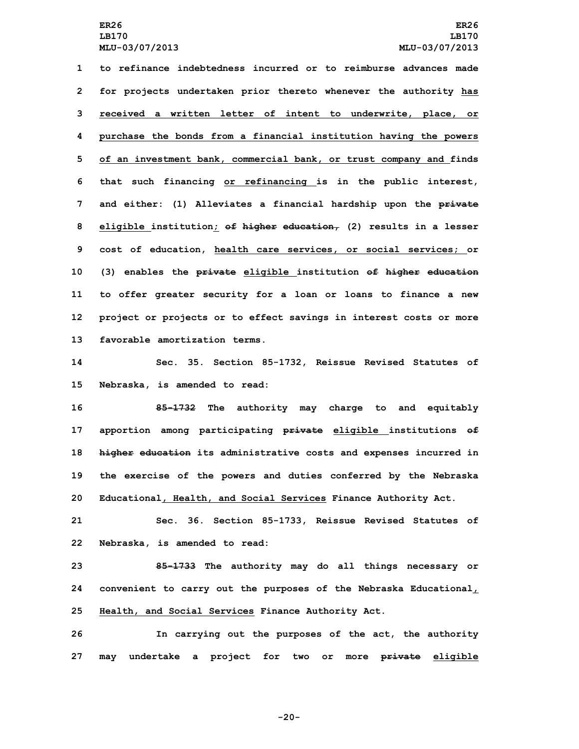**to refinance indebtedness incurred or to reimburse advances made for projects undertaken prior thereto whenever the authority has received <sup>a</sup> written letter of intent to underwrite, place, or purchase the bonds from <sup>a</sup> financial institution having the powers of an investment bank, commercial bank, or trust company and finds that such financing or refinancing is in the public interest, and either: (1) Alleviates <sup>a</sup> financial hardship upon the private eligible institution; of higher education, (2) results in <sup>a</sup> lesser cost of education, health care services, or social services; or (3) enables the private eligible institution of higher education to offer greater security for <sup>a</sup> loan or loans to finance <sup>a</sup> new project or projects or to effect savings in interest costs or more favorable amortization terms.**

**14 Sec. 35. Section 85-1732, Reissue Revised Statutes of 15 Nebraska, is amended to read:**

 **85-1732 The authority may charge to and equitably apportion among participating private eligible institutions of higher education its administrative costs and expenses incurred in the exercise of the powers and duties conferred by the Nebraska Educational, Health, and Social Services Finance Authority Act.**

**21 Sec. 36. Section 85-1733, Reissue Revised Statutes of 22 Nebraska, is amended to read:**

**23 85-1733 The authority may do all things necessary or 24 convenient to carry out the purposes of the Nebraska Educational, 25 Health, and Social Services Finance Authority Act.**

**26 In carrying out the purposes of the act, the authority 27 may undertake <sup>a</sup> project for two or more private eligible**

**-20-**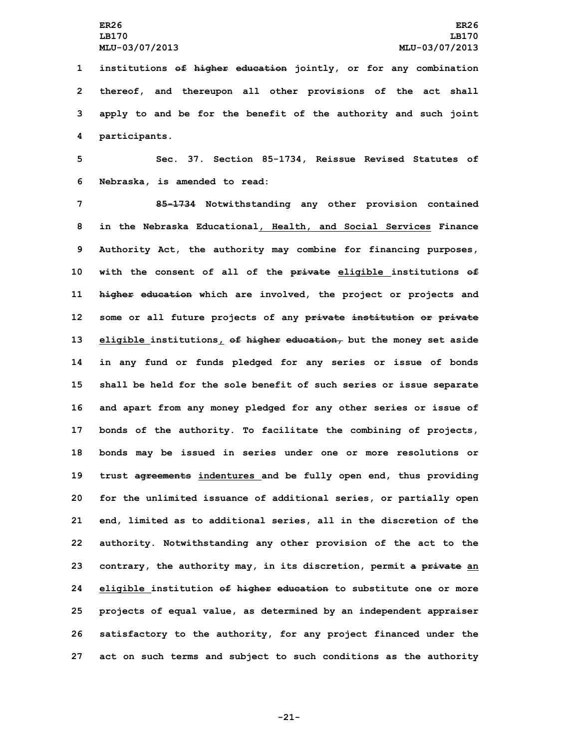**institutions of higher education jointly, or for any combination thereof, and thereupon all other provisions of the act shall apply to and be for the benefit of the authority and such joint participants.**

**5 Sec. 37. Section 85-1734, Reissue Revised Statutes of 6 Nebraska, is amended to read:**

 **85-1734 Notwithstanding any other provision contained in the Nebraska Educational, Health, and Social Services Finance Authority Act, the authority may combine for financing purposes, with the consent of all of the private eligible institutions of higher education which are involved, the project or projects and some or all future projects of any private institution or private eligible institutions, of higher education, but the money set aside in any fund or funds pledged for any series or issue of bonds shall be held for the sole benefit of such series or issue separate and apart from any money pledged for any other series or issue of bonds of the authority. To facilitate the combining of projects, bonds may be issued in series under one or more resolutions or trust agreements indentures and be fully open end, thus providing for the unlimited issuance of additional series, or partially open end, limited as to additional series, all in the discretion of the authority. Notwithstanding any other provision of the act to the contrary, the authority may, in its discretion, permit <sup>a</sup> private an eligible institution of higher education to substitute one or more projects of equal value, as determined by an independent appraiser satisfactory to the authority, for any project financed under the act on such terms and subject to such conditions as the authority**

**-21-**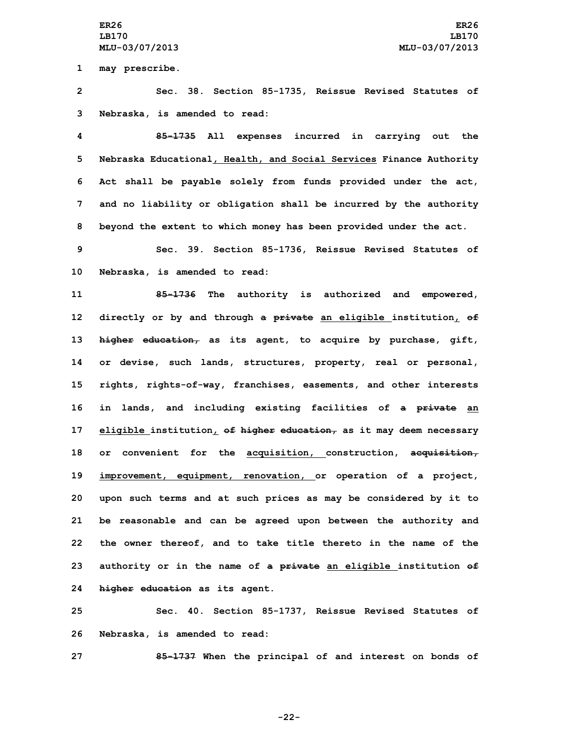**1 may prescribe.**

**2 Sec. 38. Section 85-1735, Reissue Revised Statutes of 3 Nebraska, is amended to read:**

 **85-1735 All expenses incurred in carrying out the Nebraska Educational, Health, and Social Services Finance Authority Act shall be payable solely from funds provided under the act, and no liability or obligation shall be incurred by the authority beyond the extent to which money has been provided under the act.**

**9 Sec. 39. Section 85-1736, Reissue Revised Statutes of 10 Nebraska, is amended to read:**

 **85-1736 The authority is authorized and empowered, directly or by and through <sup>a</sup> private an eligible institution, of higher education, as its agent, to acquire by purchase, gift, or devise, such lands, structures, property, real or personal, rights, rights-of-way, franchises, easements, and other interests in lands, and including existing facilities of <sup>a</sup> private an eligible institution, of higher education, as it may deem necessary or convenient for the acquisition, construction, acquisition, improvement, equipment, renovation, or operation of <sup>a</sup> project, upon such terms and at such prices as may be considered by it to be reasonable and can be agreed upon between the authority and the owner thereof, and to take title thereto in the name of the authority or in the name of <sup>a</sup> private an eligible institution of higher education as its agent.**

**25 Sec. 40. Section 85-1737, Reissue Revised Statutes of 26 Nebraska, is amended to read:**

**27 85-1737 When the principal of and interest on bonds of**

**-22-**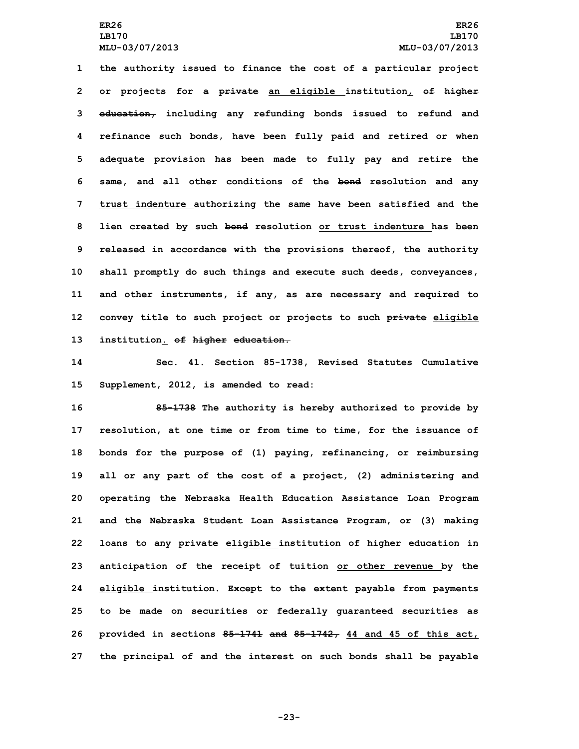**the authority issued to finance the cost of <sup>a</sup> particular project or projects for <sup>a</sup> private an eligible institution, of higher education, including any refunding bonds issued to refund and refinance such bonds, have been fully paid and retired or when adequate provision has been made to fully pay and retire the same, and all other conditions of the bond resolution and any trust indenture authorizing the same have been satisfied and the lien created by such bond resolution or trust indenture has been released in accordance with the provisions thereof, the authority shall promptly do such things and execute such deeds, conveyances, and other instruments, if any, as are necessary and required to convey title to such project or projects to such private eligible institution. of higher education.**

**14 Sec. 41. Section 85-1738, Revised Statutes Cumulative 15 Supplement, 2012, is amended to read:**

 **85-1738 The authority is hereby authorized to provide by resolution, at one time or from time to time, for the issuance of bonds for the purpose of (1) paying, refinancing, or reimbursing all or any part of the cost of <sup>a</sup> project, (2) administering and operating the Nebraska Health Education Assistance Loan Program and the Nebraska Student Loan Assistance Program, or (3) making loans to any private eligible institution of higher education in anticipation of the receipt of tuition or other revenue by the eligible institution. Except to the extent payable from payments to be made on securities or federally guaranteed securities as provided in sections 85-1741 and 85-1742, 44 and 45 of this act, the principal of and the interest on such bonds shall be payable**

**-23-**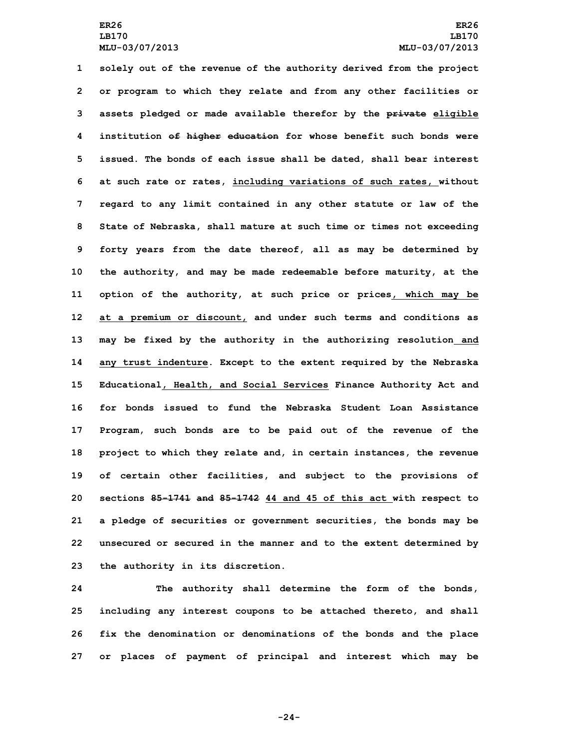**solely out of the revenue of the authority derived from the project or program to which they relate and from any other facilities or assets pledged or made available therefor by the private eligible institution of higher education for whose benefit such bonds were issued. The bonds of each issue shall be dated, shall bear interest at such rate or rates, including variations of such rates, without regard to any limit contained in any other statute or law of the State of Nebraska, shall mature at such time or times not exceeding forty years from the date thereof, all as may be determined by the authority, and may be made redeemable before maturity, at the option of the authority, at such price or prices, which may be at <sup>a</sup> premium or discount, and under such terms and conditions as may be fixed by the authority in the authorizing resolution and any trust indenture. Except to the extent required by the Nebraska Educational, Health, and Social Services Finance Authority Act and for bonds issued to fund the Nebraska Student Loan Assistance Program, such bonds are to be paid out of the revenue of the project to which they relate and, in certain instances, the revenue of certain other facilities, and subject to the provisions of sections 85-1741 and 85-1742 44 and 45 of this act with respect to <sup>a</sup> pledge of securities or government securities, the bonds may be unsecured or secured in the manner and to the extent determined by the authority in its discretion.**

 **The authority shall determine the form of the bonds, including any interest coupons to be attached thereto, and shall fix the denomination or denominations of the bonds and the place or places of payment of principal and interest which may be**

**-24-**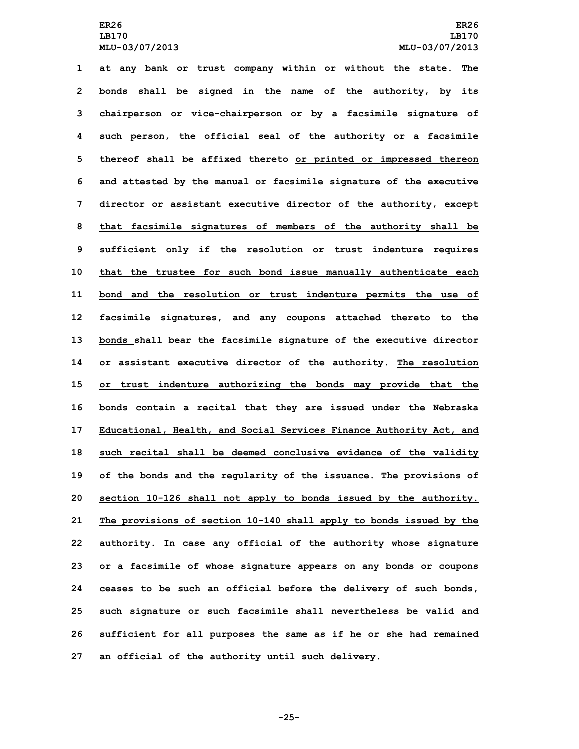## **ER26 ER26 LB170 LB170 MLU-03/07/2013 MLU-03/07/2013**

 **at any bank or trust company within or without the state. The bonds shall be signed in the name of the authority, by its chairperson or vice-chairperson or by <sup>a</sup> facsimile signature of such person, the official seal of the authority or <sup>a</sup> facsimile thereof shall be affixed thereto or printed or impressed thereon and attested by the manual or facsimile signature of the executive director or assistant executive director of the authority, except that facsimile signatures of members of the authority shall be sufficient only if the resolution or trust indenture requires that the trustee for such bond issue manually authenticate each bond and the resolution or trust indenture permits the use of facsimile signatures, and any coupons attached thereto to the bonds shall bear the facsimile signature of the executive director or assistant executive director of the authority. The resolution or trust indenture authorizing the bonds may provide that the bonds contain <sup>a</sup> recital that they are issued under the Nebraska Educational, Health, and Social Services Finance Authority Act, and such recital shall be deemed conclusive evidence of the validity of the bonds and the regularity of the issuance. The provisions of section 10-126 shall not apply to bonds issued by the authority. The provisions of section 10-140 shall apply to bonds issued by the authority. In case any official of the authority whose signature or <sup>a</sup> facsimile of whose signature appears on any bonds or coupons ceases to be such an official before the delivery of such bonds, such signature or such facsimile shall nevertheless be valid and sufficient for all purposes the same as if he or she had remained an official of the authority until such delivery.**

**-25-**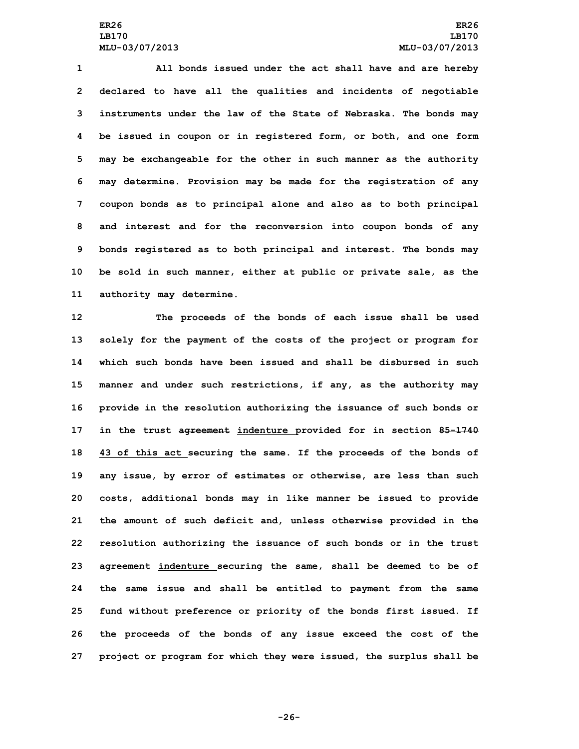**All bonds issued under the act shall have and are hereby declared to have all the qualities and incidents of negotiable instruments under the law of the State of Nebraska. The bonds may be issued in coupon or in registered form, or both, and one form may be exchangeable for the other in such manner as the authority may determine. Provision may be made for the registration of any coupon bonds as to principal alone and also as to both principal and interest and for the reconversion into coupon bonds of any bonds registered as to both principal and interest. The bonds may be sold in such manner, either at public or private sale, as the authority may determine.**

 **The proceeds of the bonds of each issue shall be used solely for the payment of the costs of the project or program for which such bonds have been issued and shall be disbursed in such manner and under such restrictions, if any, as the authority may provide in the resolution authorizing the issuance of such bonds or in the trust agreement indenture provided for in section 85-1740 43 of this act securing the same. If the proceeds of the bonds of any issue, by error of estimates or otherwise, are less than such costs, additional bonds may in like manner be issued to provide the amount of such deficit and, unless otherwise provided in the resolution authorizing the issuance of such bonds or in the trust agreement indenture securing the same, shall be deemed to be of the same issue and shall be entitled to payment from the same fund without preference or priority of the bonds first issued. If the proceeds of the bonds of any issue exceed the cost of the project or program for which they were issued, the surplus shall be**

**-26-**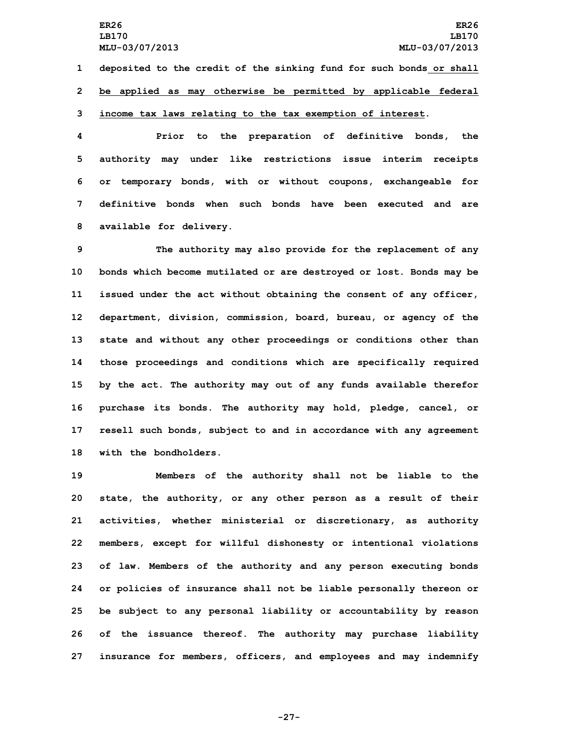**1 deposited to the credit of the sinking fund for such bonds or shall 2 be applied as may otherwise be permitted by applicable federal**

# **3 income tax laws relating to the tax exemption of interest.**

 **Prior to the preparation of definitive bonds, the authority may under like restrictions issue interim receipts or temporary bonds, with or without coupons, exchangeable for definitive bonds when such bonds have been executed and are available for delivery.**

 **The authority may also provide for the replacement of any bonds which become mutilated or are destroyed or lost. Bonds may be issued under the act without obtaining the consent of any officer, department, division, commission, board, bureau, or agency of the state and without any other proceedings or conditions other than those proceedings and conditions which are specifically required by the act. The authority may out of any funds available therefor purchase its bonds. The authority may hold, pledge, cancel, or resell such bonds, subject to and in accordance with any agreement with the bondholders.**

 **Members of the authority shall not be liable to the state, the authority, or any other person as <sup>a</sup> result of their activities, whether ministerial or discretionary, as authority members, except for willful dishonesty or intentional violations of law. Members of the authority and any person executing bonds or policies of insurance shall not be liable personally thereon or be subject to any personal liability or accountability by reason of the issuance thereof. The authority may purchase liability insurance for members, officers, and employees and may indemnify**

**-27-**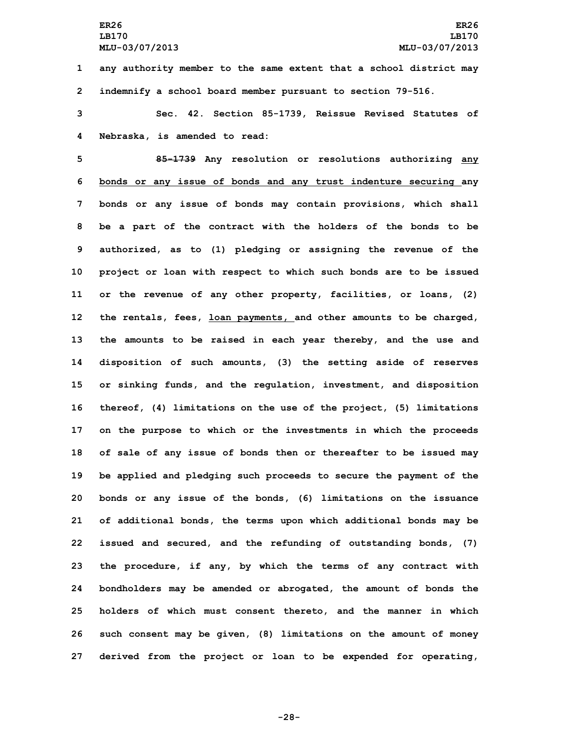**1 any authority member to the same extent that <sup>a</sup> school district may 2 indemnify <sup>a</sup> school board member pursuant to section 79-516.**

**3 Sec. 42. Section 85-1739, Reissue Revised Statutes of 4 Nebraska, is amended to read:**

 **85-1739 Any resolution or resolutions authorizing any bonds or any issue of bonds and any trust indenture securing any bonds or any issue of bonds may contain provisions, which shall be <sup>a</sup> part of the contract with the holders of the bonds to be authorized, as to (1) pledging or assigning the revenue of the project or loan with respect to which such bonds are to be issued or the revenue of any other property, facilities, or loans, (2) the rentals, fees, loan payments, and other amounts to be charged, the amounts to be raised in each year thereby, and the use and disposition of such amounts, (3) the setting aside of reserves or sinking funds, and the regulation, investment, and disposition thereof, (4) limitations on the use of the project, (5) limitations on the purpose to which or the investments in which the proceeds of sale of any issue of bonds then or thereafter to be issued may be applied and pledging such proceeds to secure the payment of the bonds or any issue of the bonds, (6) limitations on the issuance of additional bonds, the terms upon which additional bonds may be issued and secured, and the refunding of outstanding bonds, (7) the procedure, if any, by which the terms of any contract with bondholders may be amended or abrogated, the amount of bonds the holders of which must consent thereto, and the manner in which such consent may be given, (8) limitations on the amount of money derived from the project or loan to be expended for operating,**

**-28-**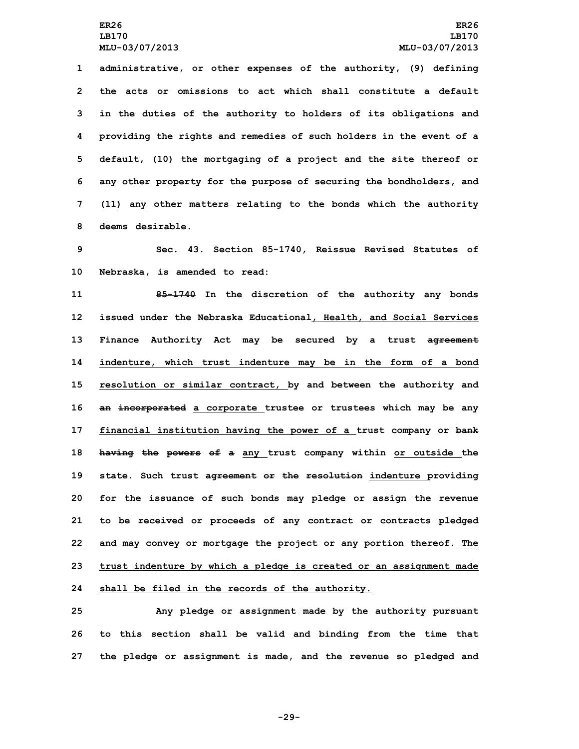**administrative, or other expenses of the authority, (9) defining the acts or omissions to act which shall constitute a default in the duties of the authority to holders of its obligations and providing the rights and remedies of such holders in the event of <sup>a</sup> default, (10) the mortgaging of <sup>a</sup> project and the site thereof or any other property for the purpose of securing the bondholders, and (11) any other matters relating to the bonds which the authority deems desirable.**

**9 Sec. 43. Section 85-1740, Reissue Revised Statutes of 10 Nebraska, is amended to read:**

 **85-1740 In the discretion of the authority any bonds issued under the Nebraska Educational, Health, and Social Services Finance Authority Act may be secured by <sup>a</sup> trust agreement indenture, which trust indenture may be in the form of <sup>a</sup> bond resolution or similar contract, by and between the authority and an incorporated <sup>a</sup> corporate trustee or trustees which may be any financial institution having the power of <sup>a</sup> trust company or bank having the powers of <sup>a</sup> any trust company within or outside the state. Such trust agreement or the resolution indenture providing for the issuance of such bonds may pledge or assign the revenue to be received or proceeds of any contract or contracts pledged and may convey or mortgage the project or any portion thereof. The trust indenture by which <sup>a</sup> pledge is created or an assignment made shall be filed in the records of the authority.**

**25 Any pledge or assignment made by the authority pursuant 26 to this section shall be valid and binding from the time that 27 the pledge or assignment is made, and the revenue so pledged and**

**-29-**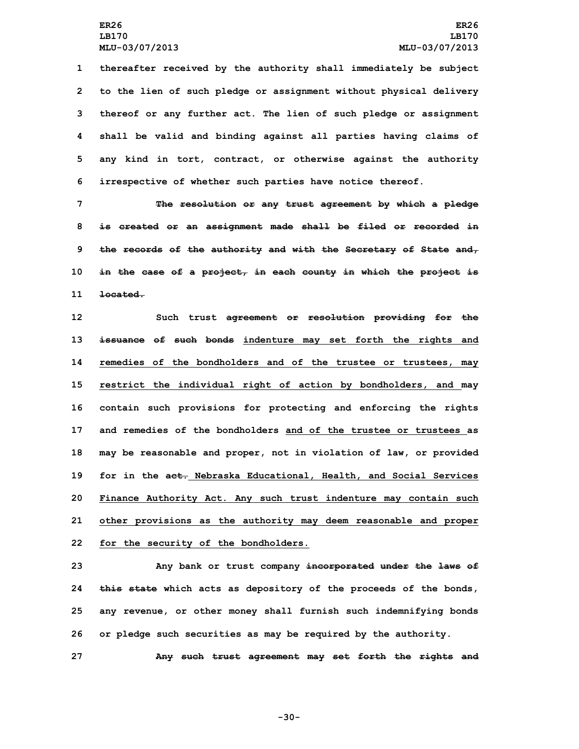**thereafter received by the authority shall immediately be subject to the lien of such pledge or assignment without physical delivery thereof or any further act. The lien of such pledge or assignment shall be valid and binding against all parties having claims of any kind in tort, contract, or otherwise against the authority irrespective of whether such parties have notice thereof.**

 **The resolution or any trust agreement by which <sup>a</sup> pledge is created or an assignment made shall be filed or recorded in the records of the authority and with the Secretary of State and, in the case of <sup>a</sup> project, in each county in which the project is 11 located.**

 **Such trust agreement or resolution providing for the issuance of such bonds indenture may set forth the rights and remedies of the bondholders and of the trustee or trustees, may restrict the individual right of action by bondholders, and may contain such provisions for protecting and enforcing the rights and remedies of the bondholders and of the trustee or trustees as may be reasonable and proper, not in violation of law, or provided for in the act. Nebraska Educational, Health, and Social Services Finance Authority Act. Any such trust indenture may contain such other provisions as the authority may deem reasonable and proper for the security of the bondholders.**

 **Any bank or trust company incorporated under the laws of this state which acts as depository of the proceeds of the bonds, any revenue, or other money shall furnish such indemnifying bonds or pledge such securities as may be required by the authority.**

**27 Any such trust agreement may set forth the rights and**

**-30-**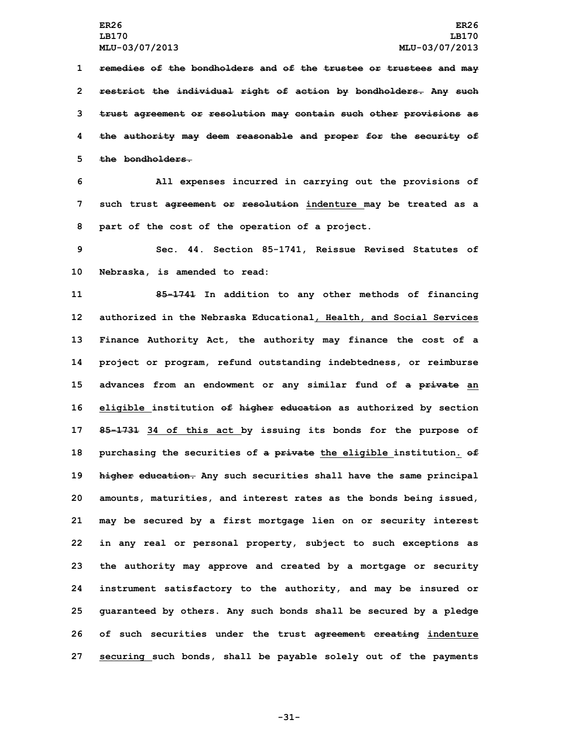**remedies of the bondholders and of the trustee or trustees and may restrict the individual right of action by bondholders. Any such trust agreement or resolution may contain such other provisions as the authority may deem reasonable and proper for the security of the bondholders.**

**6 All expenses incurred in carrying out the provisions of 7 such trust agreement or resolution indenture may be treated as <sup>a</sup> 8 part of the cost of the operation of <sup>a</sup> project.**

**9 Sec. 44. Section 85-1741, Reissue Revised Statutes of 10 Nebraska, is amended to read:**

 **85-1741 In addition to any other methods of financing authorized in the Nebraska Educational, Health, and Social Services Finance Authority Act, the authority may finance the cost of <sup>a</sup> project or program, refund outstanding indebtedness, or reimburse advances from an endowment or any similar fund of <sup>a</sup> private an eligible institution of higher education as authorized by section 85-1731 34 of this act by issuing its bonds for the purpose of purchasing the securities of <sup>a</sup> private the eligible institution. of higher education. Any such securities shall have the same principal amounts, maturities, and interest rates as the bonds being issued, may be secured by <sup>a</sup> first mortgage lien on or security interest in any real or personal property, subject to such exceptions as the authority may approve and created by <sup>a</sup> mortgage or security instrument satisfactory to the authority, and may be insured or guaranteed by others. Any such bonds shall be secured by <sup>a</sup> pledge of such securities under the trust agreement creating indenture securing such bonds, shall be payable solely out of the payments**

**-31-**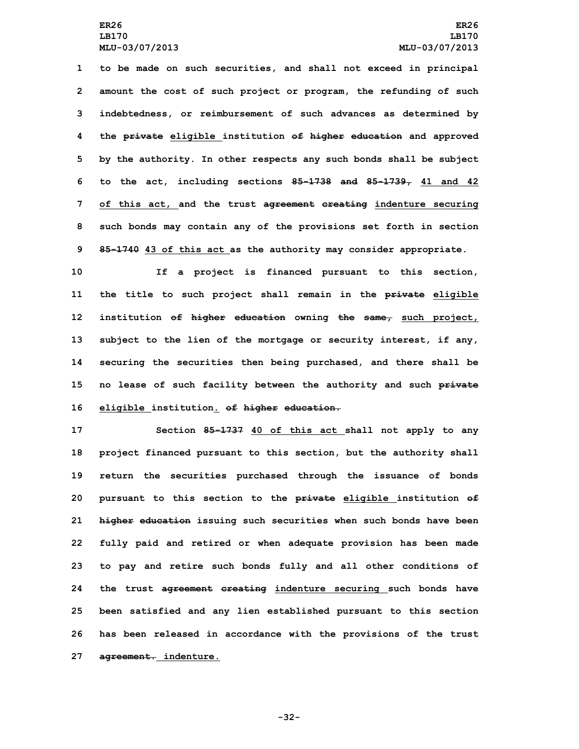**to be made on such securities, and shall not exceed in principal amount the cost of such project or program, the refunding of such indebtedness, or reimbursement of such advances as determined by the private eligible institution of higher education and approved by the authority. In other respects any such bonds shall be subject to the act, including sections 85-1738 and 85-1739, 41 and 42 of this act, and the trust agreement creating indenture securing such bonds may contain any of the provisions set forth in section 85-1740 43 of this act as the authority may consider appropriate.**

 **If <sup>a</sup> project is financed pursuant to this section, the title to such project shall remain in the private eligible institution of higher education owning the same, such project, subject to the lien of the mortgage or security interest, if any, securing the securities then being purchased, and there shall be no lease of such facility between the authority and such private eligible institution. of higher education.**

 **Section 85-1737 40 of this act shall not apply to any project financed pursuant to this section, but the authority shall return the securities purchased through the issuance of bonds pursuant to this section to the private eligible institution of higher education issuing such securities when such bonds have been fully paid and retired or when adequate provision has been made to pay and retire such bonds fully and all other conditions of the trust agreement creating indenture securing such bonds have been satisfied and any lien established pursuant to this section has been released in accordance with the provisions of the trust agreement. indenture.**

**-32-**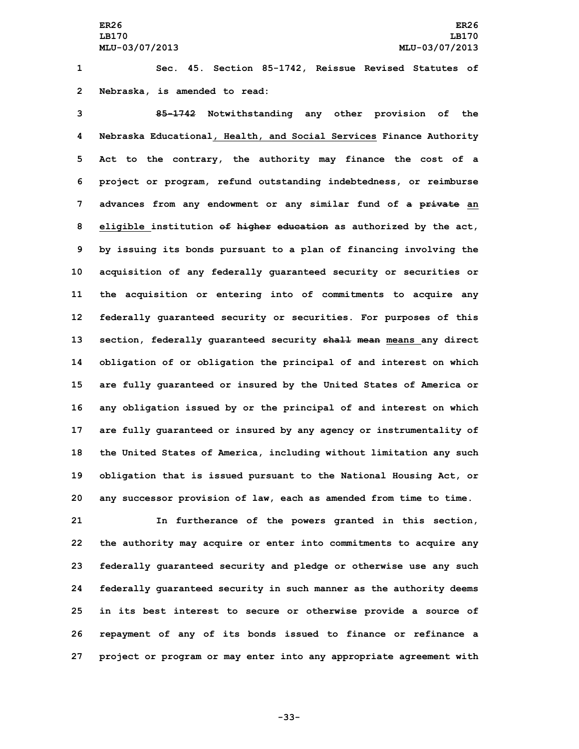**1 Sec. 45. Section 85-1742, Reissue Revised Statutes of 2 Nebraska, is amended to read:**

 **85-1742 Notwithstanding any other provision of the Nebraska Educational, Health, and Social Services Finance Authority Act to the contrary, the authority may finance the cost of <sup>a</sup> project or program, refund outstanding indebtedness, or reimburse advances from any endowment or any similar fund of <sup>a</sup> private an eligible institution of higher education as authorized by the act, by issuing its bonds pursuant to <sup>a</sup> plan of financing involving the acquisition of any federally guaranteed security or securities or the acquisition or entering into of commitments to acquire any federally guaranteed security or securities. For purposes of this section, federally guaranteed security shall mean means any direct obligation of or obligation the principal of and interest on which are fully guaranteed or insured by the United States of America or any obligation issued by or the principal of and interest on which are fully guaranteed or insured by any agency or instrumentality of the United States of America, including without limitation any such obligation that is issued pursuant to the National Housing Act, or any successor provision of law, each as amended from time to time.**

 **In furtherance of the powers granted in this section, the authority may acquire or enter into commitments to acquire any federally guaranteed security and pledge or otherwise use any such federally guaranteed security in such manner as the authority deems in its best interest to secure or otherwise provide <sup>a</sup> source of repayment of any of its bonds issued to finance or refinance <sup>a</sup> project or program or may enter into any appropriate agreement with**

**-33-**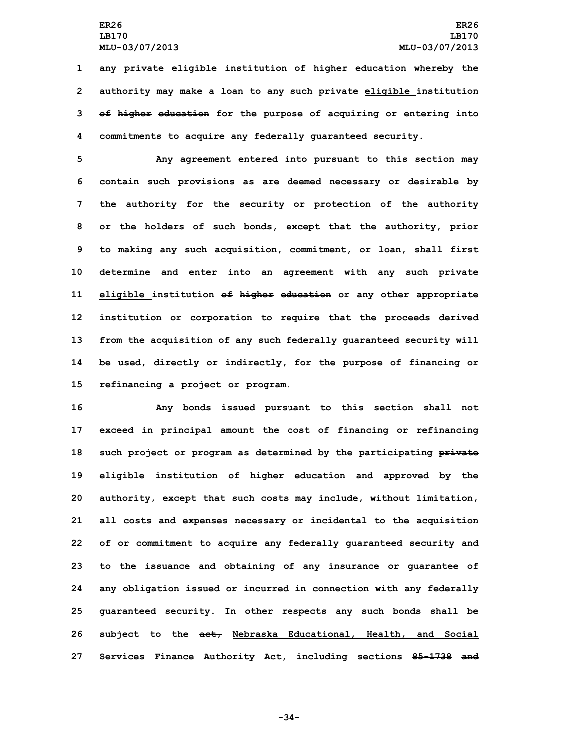**any private eligible institution of higher education whereby the authority may make <sup>a</sup> loan to any such private eligible institution of higher education for the purpose of acquiring or entering into commitments to acquire any federally guaranteed security.**

 **Any agreement entered into pursuant to this section may contain such provisions as are deemed necessary or desirable by the authority for the security or protection of the authority or the holders of such bonds, except that the authority, prior to making any such acquisition, commitment, or loan, shall first determine and enter into an agreement with any such private eligible institution of higher education or any other appropriate institution or corporation to require that the proceeds derived from the acquisition of any such federally guaranteed security will be used, directly or indirectly, for the purpose of financing or refinancing <sup>a</sup> project or program.**

 **Any bonds issued pursuant to this section shall not exceed in principal amount the cost of financing or refinancing such project or program as determined by the participating private eligible institution of higher education and approved by the authority, except that such costs may include, without limitation, all costs and expenses necessary or incidental to the acquisition of or commitment to acquire any federally guaranteed security and to the issuance and obtaining of any insurance or guarantee of any obligation issued or incurred in connection with any federally guaranteed security. In other respects any such bonds shall be subject to the act, Nebraska Educational, Health, and Social Services Finance Authority Act, including sections 85-1738 and**

**-34-**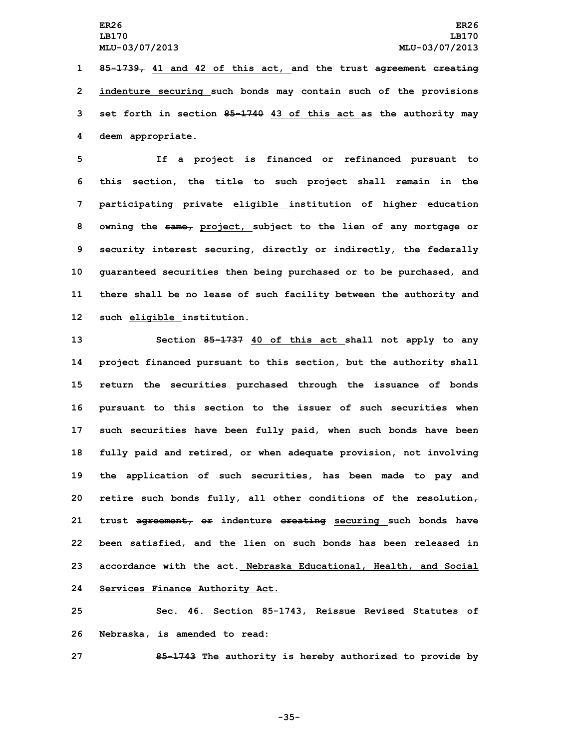**85-1739, 41 and 42 of this act, and the trust agreement creating indenture securing such bonds may contain such of the provisions set forth in section 85-1740 43 of this act as the authority may deem appropriate.**

 **If <sup>a</sup> project is financed or refinanced pursuant to this section, the title to such project shall remain in the participating private eligible institution of higher education owning the same, project, subject to the lien of any mortgage or security interest securing, directly or indirectly, the federally guaranteed securities then being purchased or to be purchased, and there shall be no lease of such facility between the authority and such eligible institution.**

 **Section 85-1737 40 of this act shall not apply to any project financed pursuant to this section, but the authority shall return the securities purchased through the issuance of bonds pursuant to this section to the issuer of such securities when such securities have been fully paid, when such bonds have been fully paid and retired, or when adequate provision, not involving the application of such securities, has been made to pay and retire such bonds fully, all other conditions of the resolution, trust agreement, or indenture creating securing such bonds have been satisfied, and the lien on such bonds has been released in accordance with the act. Nebraska Educational, Health, and Social Services Finance Authority Act.**

**25 Sec. 46. Section 85-1743, Reissue Revised Statutes of 26 Nebraska, is amended to read:**

**27 85-1743 The authority is hereby authorized to provide by**

**-35-**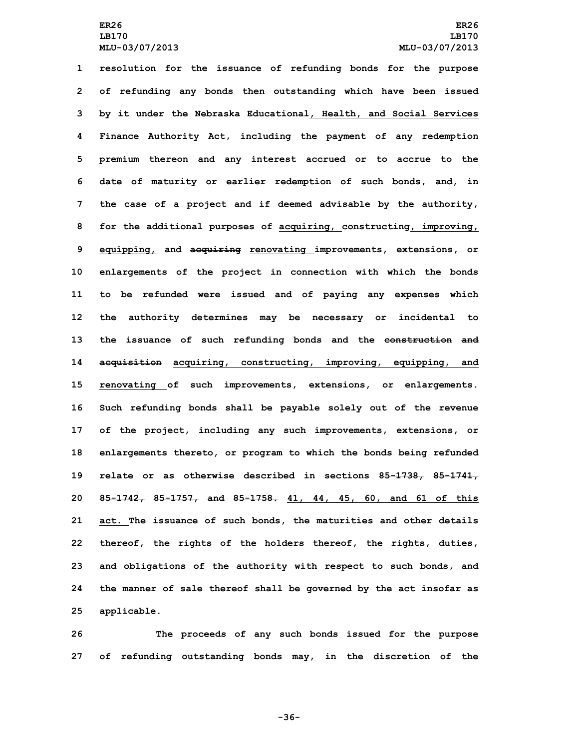**resolution for the issuance of refunding bonds for the purpose of refunding any bonds then outstanding which have been issued by it under the Nebraska Educational, Health, and Social Services Finance Authority Act, including the payment of any redemption premium thereon and any interest accrued or to accrue to the date of maturity or earlier redemption of such bonds, and, in the case of <sup>a</sup> project and if deemed advisable by the authority, for the additional purposes of acquiring, constructing, improving, equipping, and acquiring renovating improvements, extensions, or enlargements of the project in connection with which the bonds to be refunded were issued and of paying any expenses which the authority determines may be necessary or incidental to the issuance of such refunding bonds and the construction and acquisition acquiring, constructing, improving, equipping, and renovating of such improvements, extensions, or enlargements. Such refunding bonds shall be payable solely out of the revenue of the project, including any such improvements, extensions, or enlargements thereto, or program to which the bonds being refunded relate or as otherwise described in sections 85-1738, 85-1741, 85-1742, 85-1757, and 85-1758. 41, 44, 45, 60, and 61 of this act. The issuance of such bonds, the maturities and other details thereof, the rights of the holders thereof, the rights, duties, and obligations of the authority with respect to such bonds, and the manner of sale thereof shall be governed by the act insofar as applicable.**

**26 The proceeds of any such bonds issued for the purpose 27 of refunding outstanding bonds may, in the discretion of the**

**-36-**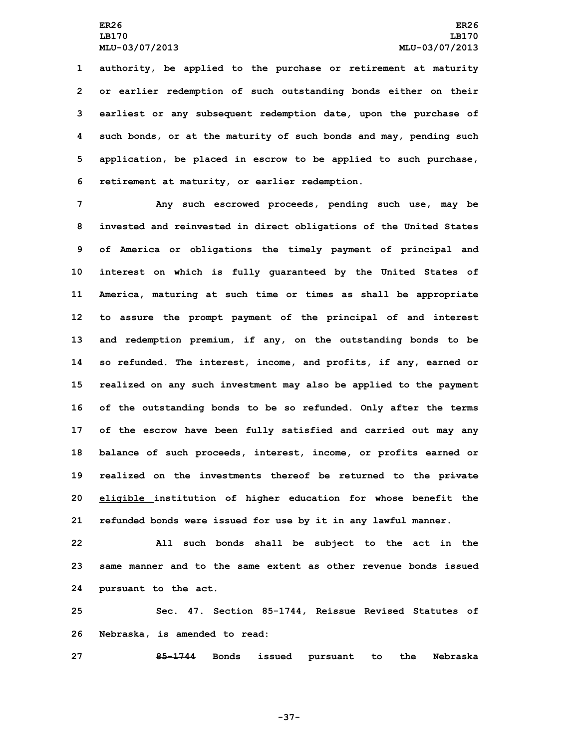**authority, be applied to the purchase or retirement at maturity or earlier redemption of such outstanding bonds either on their earliest or any subsequent redemption date, upon the purchase of such bonds, or at the maturity of such bonds and may, pending such application, be placed in escrow to be applied to such purchase, retirement at maturity, or earlier redemption.**

 **Any such escrowed proceeds, pending such use, may be invested and reinvested in direct obligations of the United States of America or obligations the timely payment of principal and interest on which is fully guaranteed by the United States of America, maturing at such time or times as shall be appropriate to assure the prompt payment of the principal of and interest and redemption premium, if any, on the outstanding bonds to be so refunded. The interest, income, and profits, if any, earned or realized on any such investment may also be applied to the payment of the outstanding bonds to be so refunded. Only after the terms of the escrow have been fully satisfied and carried out may any balance of such proceeds, interest, income, or profits earned or realized on the investments thereof be returned to the private eligible institution of higher education for whose benefit the refunded bonds were issued for use by it in any lawful manner.**

**22 All such bonds shall be subject to the act in the 23 same manner and to the same extent as other revenue bonds issued 24 pursuant to the act.**

**25 Sec. 47. Section 85-1744, Reissue Revised Statutes of 26 Nebraska, is amended to read:**

**27 85-1744 Bonds issued pursuant to the Nebraska**

**-37-**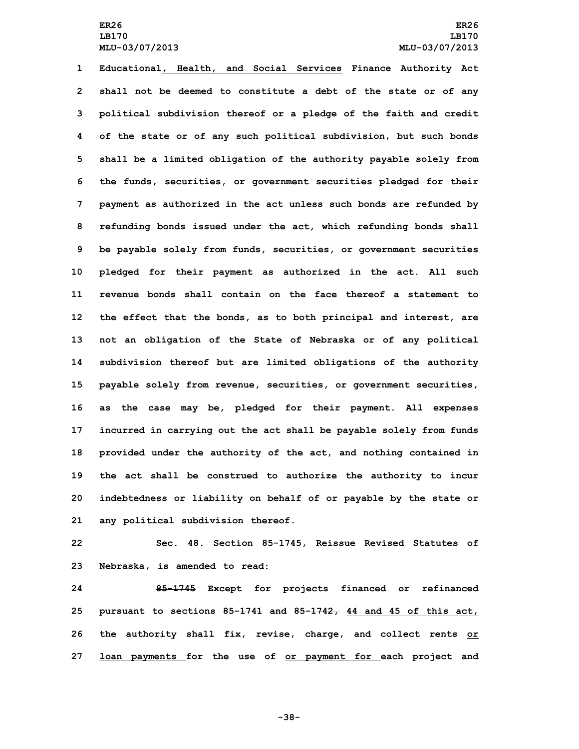# **ER26 ER26 LB170 LB170 MLU-03/07/2013 MLU-03/07/2013**

 **Educational, Health, and Social Services Finance Authority Act shall not be deemed to constitute <sup>a</sup> debt of the state or of any political subdivision thereof or <sup>a</sup> pledge of the faith and credit of the state or of any such political subdivision, but such bonds shall be <sup>a</sup> limited obligation of the authority payable solely from the funds, securities, or government securities pledged for their payment as authorized in the act unless such bonds are refunded by refunding bonds issued under the act, which refunding bonds shall be payable solely from funds, securities, or government securities pledged for their payment as authorized in the act. All such revenue bonds shall contain on the face thereof a statement to the effect that the bonds, as to both principal and interest, are not an obligation of the State of Nebraska or of any political subdivision thereof but are limited obligations of the authority payable solely from revenue, securities, or government securities, as the case may be, pledged for their payment. All expenses incurred in carrying out the act shall be payable solely from funds provided under the authority of the act, and nothing contained in the act shall be construed to authorize the authority to incur indebtedness or liability on behalf of or payable by the state or any political subdivision thereof.**

**22 Sec. 48. Section 85-1745, Reissue Revised Statutes of 23 Nebraska, is amended to read:**

 **85-1745 Except for projects financed or refinanced pursuant to sections 85-1741 and 85-1742, 44 and 45 of this act, the authority shall fix, revise, charge, and collect rents or loan payments for the use of or payment for each project and**

**-38-**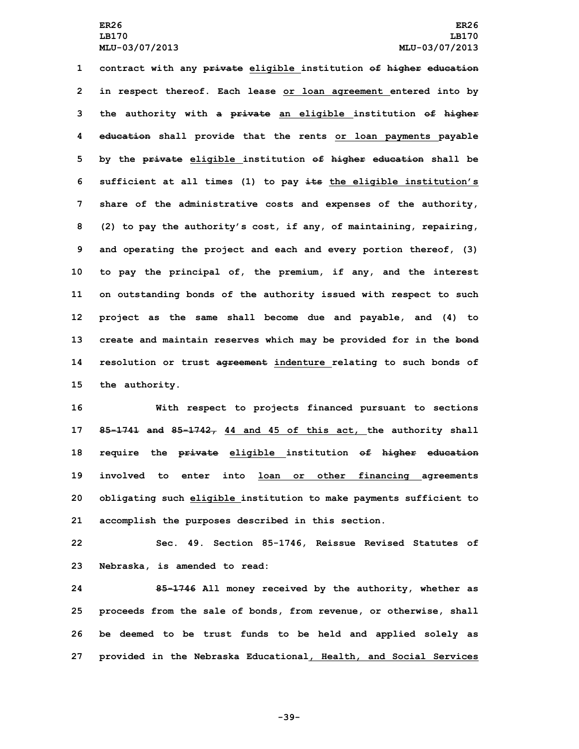**contract with any private eligible institution of higher education in respect thereof. Each lease or loan agreement entered into by the authority with <sup>a</sup> private an eligible institution of higher education shall provide that the rents or loan payments payable by the private eligible institution of higher education shall be sufficient at all times (1) to pay its the eligible institution's share of the administrative costs and expenses of the authority, (2) to pay the authority's cost, if any, of maintaining, repairing, and operating the project and each and every portion thereof, (3) to pay the principal of, the premium, if any, and the interest on outstanding bonds of the authority issued with respect to such project as the same shall become due and payable, and (4) to create and maintain reserves which may be provided for in the bond resolution or trust agreement indenture relating to such bonds of the authority.**

 **With respect to projects financed pursuant to sections 85-1741 and 85-1742, 44 and 45 of this act, the authority shall require the private eligible institution of higher education involved to enter into loan or other financing agreements obligating such eligible institution to make payments sufficient to accomplish the purposes described in this section.**

**22 Sec. 49. Section 85-1746, Reissue Revised Statutes of 23 Nebraska, is amended to read:**

 **85-1746 All money received by the authority, whether as proceeds from the sale of bonds, from revenue, or otherwise, shall be deemed to be trust funds to be held and applied solely as provided in the Nebraska Educational, Health, and Social Services**

**-39-**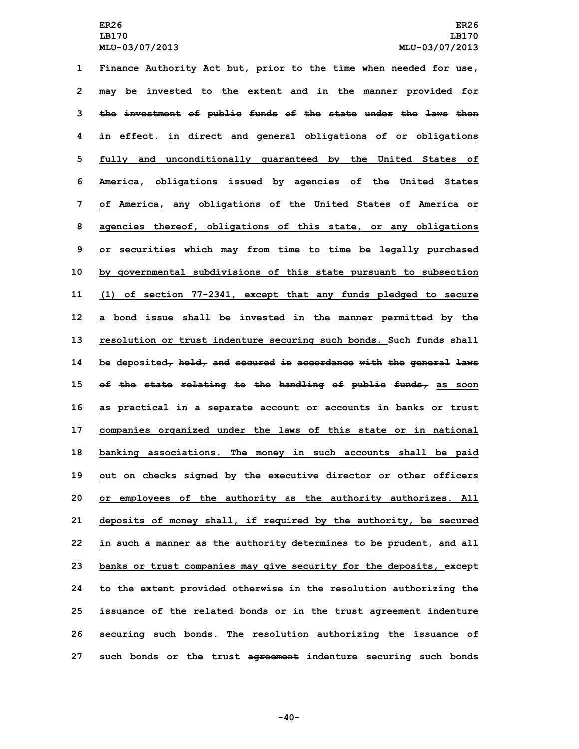**Finance Authority Act but, prior to the time when needed for use, may be invested to the extent and in the manner provided for the investment of public funds of the state under the laws then in effect. in direct and general obligations of or obligations fully and unconditionally guaranteed by the United States of America, obligations issued by agencies of the United States of America, any obligations of the United States of America or agencies thereof, obligations of this state, or any obligations or securities which may from time to time be legally purchased by governmental subdivisions of this state pursuant to subsection (1) of section 77-2341, except that any funds pledged to secure <sup>a</sup> bond issue shall be invested in the manner permitted by the resolution or trust indenture securing such bonds. Such funds shall be deposited, held, and secured in accordance with the general laws of the state relating to the handling of public funds, as soon as practical in <sup>a</sup> separate account or accounts in banks or trust companies organized under the laws of this state or in national banking associations. The money in such accounts shall be paid out on checks signed by the executive director or other officers or employees of the authority as the authority authorizes. All deposits of money shall, if required by the authority, be secured in such <sup>a</sup> manner as the authority determines to be prudent, and all banks or trust companies may give security for the deposits, except to the extent provided otherwise in the resolution authorizing the issuance of the related bonds or in the trust agreement indenture securing such bonds. The resolution authorizing the issuance of such bonds or the trust agreement indenture securing such bonds**

**-40-**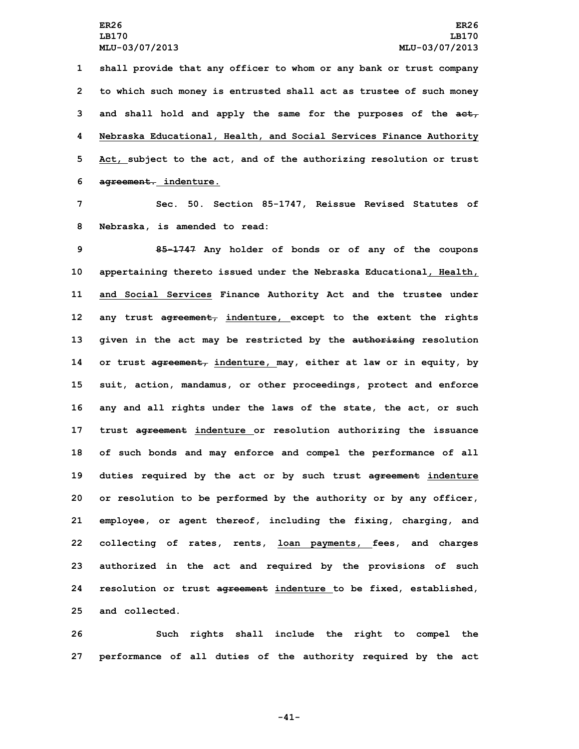**shall provide that any officer to whom or any bank or trust company to which such money is entrusted shall act as trustee of such money and shall hold and apply the same for the purposes of the act, Nebraska Educational, Health, and Social Services Finance Authority Act, subject to the act, and of the authorizing resolution or trust agreement. indenture.**

**7 Sec. 50. Section 85-1747, Reissue Revised Statutes of 8 Nebraska, is amended to read:**

 **85-1747 Any holder of bonds or of any of the coupons appertaining thereto issued under the Nebraska Educational, Health, and Social Services Finance Authority Act and the trustee under any trust agreement, indenture, except to the extent the rights given in the act may be restricted by the authorizing resolution or trust agreement, indenture, may, either at law or in equity, by suit, action, mandamus, or other proceedings, protect and enforce any and all rights under the laws of the state, the act, or such trust agreement indenture or resolution authorizing the issuance of such bonds and may enforce and compel the performance of all duties required by the act or by such trust agreement indenture or resolution to be performed by the authority or by any officer, employee, or agent thereof, including the fixing, charging, and collecting of rates, rents, loan payments, fees, and charges authorized in the act and required by the provisions of such resolution or trust agreement indenture to be fixed, established, and collected.**

**26 Such rights shall include the right to compel the 27 performance of all duties of the authority required by the act**

**-41-**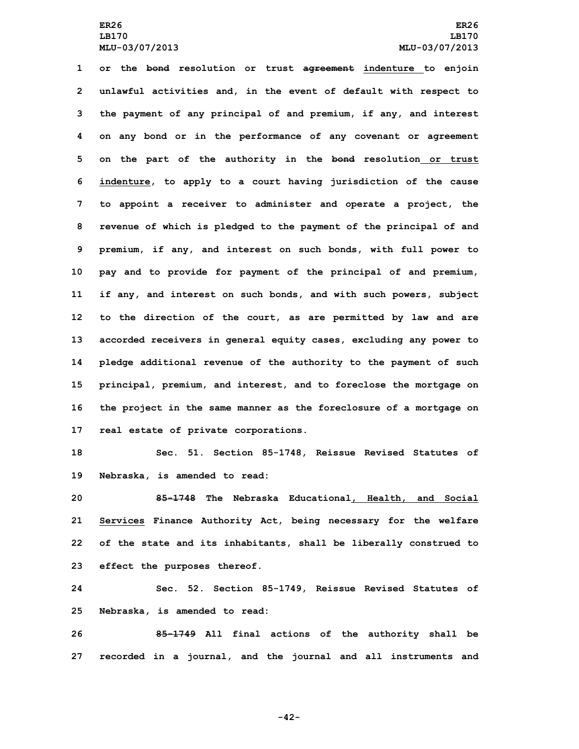**or the bond resolution or trust agreement indenture to enjoin unlawful activities and, in the event of default with respect to the payment of any principal of and premium, if any, and interest on any bond or in the performance of any covenant or agreement on the part of the authority in the bond resolution or trust indenture, to apply to <sup>a</sup> court having jurisdiction of the cause to appoint <sup>a</sup> receiver to administer and operate <sup>a</sup> project, the revenue of which is pledged to the payment of the principal of and premium, if any, and interest on such bonds, with full power to pay and to provide for payment of the principal of and premium, if any, and interest on such bonds, and with such powers, subject to the direction of the court, as are permitted by law and are accorded receivers in general equity cases, excluding any power to pledge additional revenue of the authority to the payment of such principal, premium, and interest, and to foreclose the mortgage on the project in the same manner as the foreclosure of <sup>a</sup> mortgage on real estate of private corporations.**

**18 Sec. 51. Section 85-1748, Reissue Revised Statutes of 19 Nebraska, is amended to read:**

 **85-1748 The Nebraska Educational, Health, and Social Services Finance Authority Act, being necessary for the welfare of the state and its inhabitants, shall be liberally construed to effect the purposes thereof.**

**24 Sec. 52. Section 85-1749, Reissue Revised Statutes of 25 Nebraska, is amended to read:**

**26 85-1749 All final actions of the authority shall be 27 recorded in <sup>a</sup> journal, and the journal and all instruments and**

**-42-**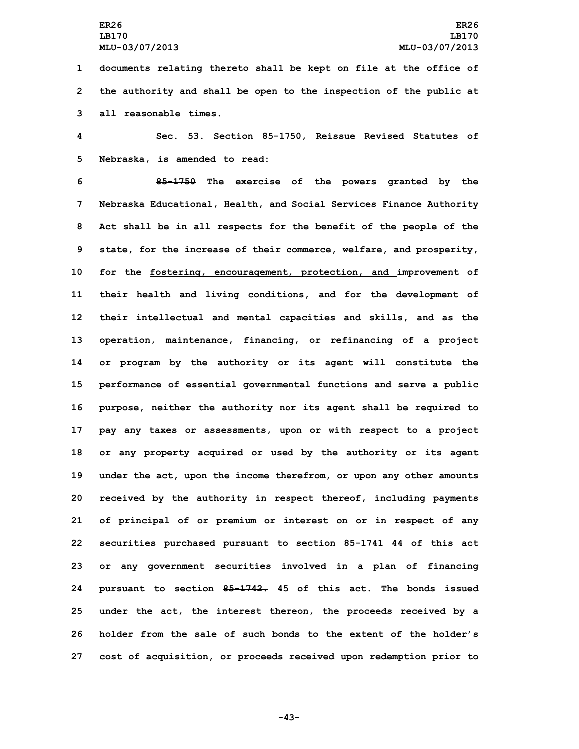**1 documents relating thereto shall be kept on file at the office of 2 the authority and shall be open to the inspection of the public at 3 all reasonable times.**

**4 Sec. 53. Section 85-1750, Reissue Revised Statutes of 5 Nebraska, is amended to read:**

 **85-1750 The exercise of the powers granted by the Nebraska Educational, Health, and Social Services Finance Authority Act shall be in all respects for the benefit of the people of the state, for the increase of their commerce, welfare, and prosperity, for the fostering, encouragement, protection, and improvement of their health and living conditions, and for the development of their intellectual and mental capacities and skills, and as the operation, maintenance, financing, or refinancing of <sup>a</sup> project or program by the authority or its agent will constitute the performance of essential governmental functions and serve <sup>a</sup> public purpose, neither the authority nor its agent shall be required to pay any taxes or assessments, upon or with respect to <sup>a</sup> project or any property acquired or used by the authority or its agent under the act, upon the income therefrom, or upon any other amounts received by the authority in respect thereof, including payments of principal of or premium or interest on or in respect of any securities purchased pursuant to section 85-1741 44 of this act or any government securities involved in <sup>a</sup> plan of financing pursuant to section 85-1742. 45 of this act. The bonds issued under the act, the interest thereon, the proceeds received by <sup>a</sup> holder from the sale of such bonds to the extent of the holder's cost of acquisition, or proceeds received upon redemption prior to**

**-43-**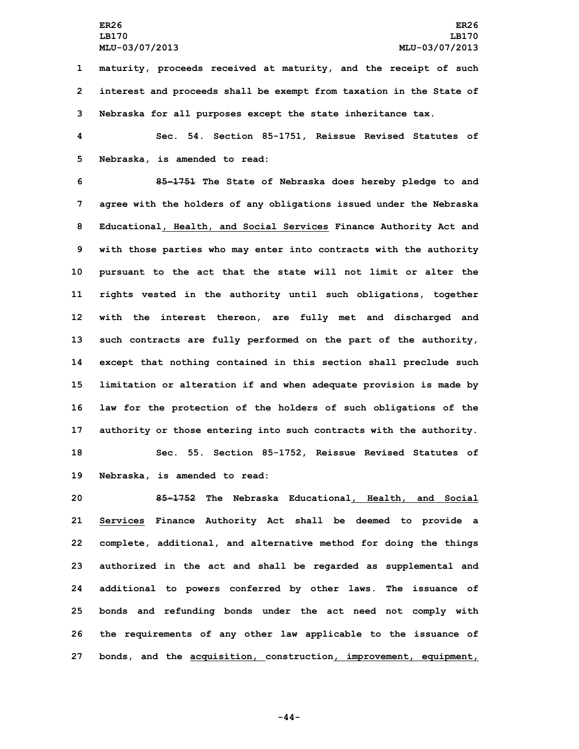**1 maturity, proceeds received at maturity, and the receipt of such 2 interest and proceeds shall be exempt from taxation in the State of 3 Nebraska for all purposes except the state inheritance tax.**

**4 Sec. 54. Section 85-1751, Reissue Revised Statutes of 5 Nebraska, is amended to read:**

 **85-1751 The State of Nebraska does hereby pledge to and agree with the holders of any obligations issued under the Nebraska Educational, Health, and Social Services Finance Authority Act and with those parties who may enter into contracts with the authority pursuant to the act that the state will not limit or alter the rights vested in the authority until such obligations, together with the interest thereon, are fully met and discharged and such contracts are fully performed on the part of the authority, except that nothing contained in this section shall preclude such limitation or alteration if and when adequate provision is made by law for the protection of the holders of such obligations of the authority or those entering into such contracts with the authority. Sec. 55. Section 85-1752, Reissue Revised Statutes of**

**19 Nebraska, is amended to read:**

 **85-1752 The Nebraska Educational, Health, and Social Services Finance Authority Act shall be deemed to provide <sup>a</sup> complete, additional, and alternative method for doing the things authorized in the act and shall be regarded as supplemental and additional to powers conferred by other laws. The issuance of bonds and refunding bonds under the act need not comply with the requirements of any other law applicable to the issuance of bonds, and the acquisition, construction, improvement, equipment,**

**-44-**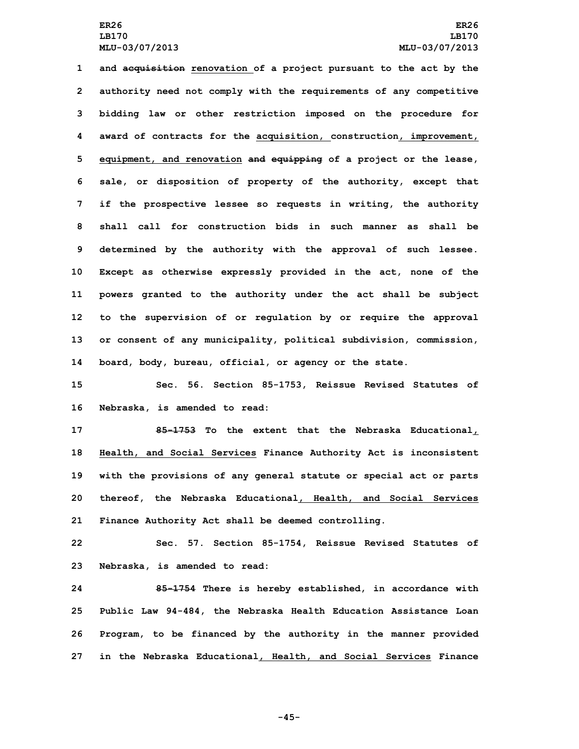**and acquisition renovation of <sup>a</sup> project pursuant to the act by the authority need not comply with the requirements of any competitive bidding law or other restriction imposed on the procedure for award of contracts for the acquisition, construction, improvement, equipment, and renovation and equipping of <sup>a</sup> project or the lease, sale, or disposition of property of the authority, except that if the prospective lessee so requests in writing, the authority shall call for construction bids in such manner as shall be determined by the authority with the approval of such lessee. Except as otherwise expressly provided in the act, none of the powers granted to the authority under the act shall be subject to the supervision of or regulation by or require the approval or consent of any municipality, political subdivision, commission, board, body, bureau, official, or agency or the state.**

**15 Sec. 56. Section 85-1753, Reissue Revised Statutes of 16 Nebraska, is amended to read:**

 **85-1753 To the extent that the Nebraska Educational, Health, and Social Services Finance Authority Act is inconsistent with the provisions of any general statute or special act or parts thereof, the Nebraska Educational, Health, and Social Services Finance Authority Act shall be deemed controlling.**

**22 Sec. 57. Section 85-1754, Reissue Revised Statutes of 23 Nebraska, is amended to read:**

 **85-1754 There is hereby established, in accordance with Public Law 94-484, the Nebraska Health Education Assistance Loan Program, to be financed by the authority in the manner provided in the Nebraska Educational, Health, and Social Services Finance**

**-45-**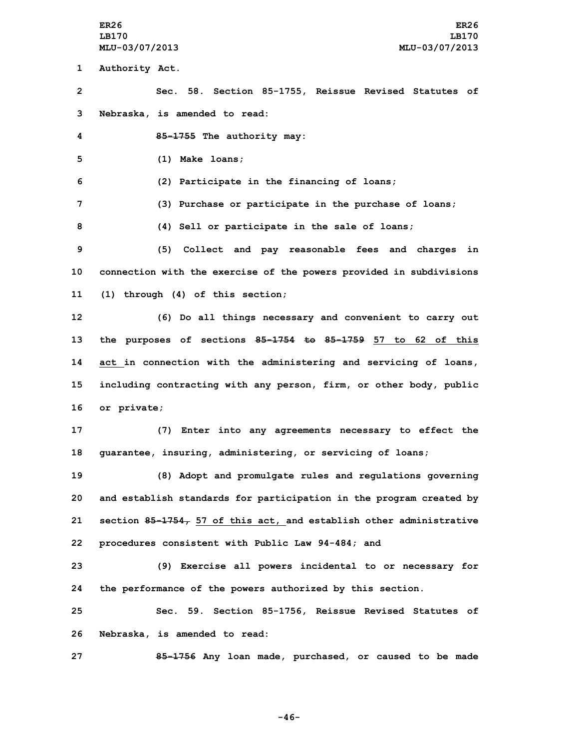**1 Authority Act.**

**2 Sec. 58. Section 85-1755, Reissue Revised Statutes of 3 Nebraska, is amended to read:**

**4 85-1755 The authority may:**

**5 (1) Make loans;**

**6 (2) Participate in the financing of loans;**

**7 (3) Purchase or participate in the purchase of loans;**

**8 (4) Sell or participate in the sale of loans;**

**9 (5) Collect and pay reasonable fees and charges in 10 connection with the exercise of the powers provided in subdivisions 11 (1) through (4) of this section;**

 **(6) Do all things necessary and convenient to carry out the purposes of sections 85-1754 to 85-1759 57 to 62 of this act in connection with the administering and servicing of loans, including contracting with any person, firm, or other body, public or private;**

**17 (7) Enter into any agreements necessary to effect the 18 guarantee, insuring, administering, or servicing of loans;**

 **(8) Adopt and promulgate rules and regulations governing and establish standards for participation in the program created by section 85-1754, 57 of this act, and establish other administrative procedures consistent with Public Law 94-484; and**

**23 (9) Exercise all powers incidental to or necessary for 24 the performance of the powers authorized by this section.**

**25 Sec. 59. Section 85-1756, Reissue Revised Statutes of 26 Nebraska, is amended to read:**

**27 85-1756 Any loan made, purchased, or caused to be made**

**-46-**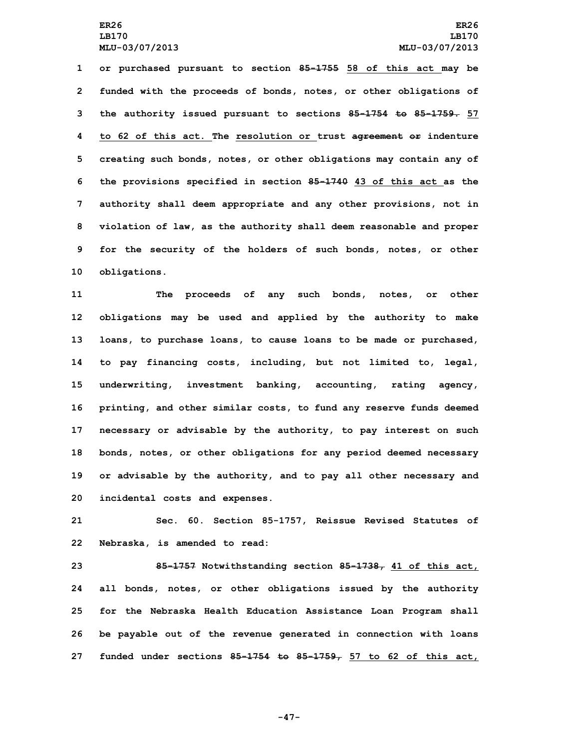**LB170 LB170**

 **or purchased pursuant to section 85-1755 58 of this act may be funded with the proceeds of bonds, notes, or other obligations of the authority issued pursuant to sections 85-1754 to 85-1759. 57 to 62 of this act. The resolution or trust agreement or indenture creating such bonds, notes, or other obligations may contain any of the provisions specified in section 85-1740 43 of this act as the authority shall deem appropriate and any other provisions, not in violation of law, as the authority shall deem reasonable and proper for the security of the holders of such bonds, notes, or other obligations.**

 **The proceeds of any such bonds, notes, or other obligations may be used and applied by the authority to make loans, to purchase loans, to cause loans to be made or purchased, to pay financing costs, including, but not limited to, legal, underwriting, investment banking, accounting, rating agency, printing, and other similar costs, to fund any reserve funds deemed necessary or advisable by the authority, to pay interest on such bonds, notes, or other obligations for any period deemed necessary or advisable by the authority, and to pay all other necessary and incidental costs and expenses.**

**21 Sec. 60. Section 85-1757, Reissue Revised Statutes of 22 Nebraska, is amended to read:**

 **85-1757 Notwithstanding section 85-1738, 41 of this act, all bonds, notes, or other obligations issued by the authority for the Nebraska Health Education Assistance Loan Program shall be payable out of the revenue generated in connection with loans funded under sections 85-1754 to 85-1759, 57 to 62 of this act,**

**-47-**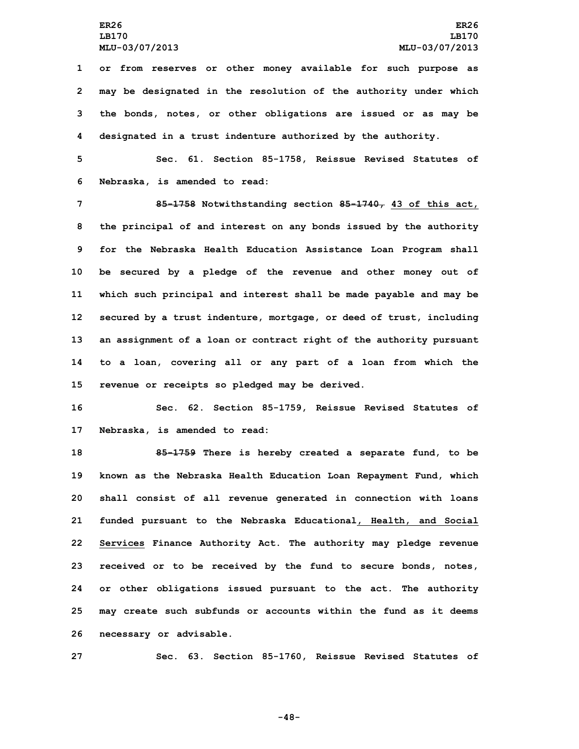**or from reserves or other money available for such purpose as may be designated in the resolution of the authority under which the bonds, notes, or other obligations are issued or as may be designated in <sup>a</sup> trust indenture authorized by the authority.**

**5 Sec. 61. Section 85-1758, Reissue Revised Statutes of 6 Nebraska, is amended to read:**

 **85-1758 Notwithstanding section 85-1740, 43 of this act, the principal of and interest on any bonds issued by the authority for the Nebraska Health Education Assistance Loan Program shall be secured by <sup>a</sup> pledge of the revenue and other money out of which such principal and interest shall be made payable and may be secured by <sup>a</sup> trust indenture, mortgage, or deed of trust, including an assignment of <sup>a</sup> loan or contract right of the authority pursuant to <sup>a</sup> loan, covering all or any part of <sup>a</sup> loan from which the revenue or receipts so pledged may be derived.**

**16 Sec. 62. Section 85-1759, Reissue Revised Statutes of 17 Nebraska, is amended to read:**

 **85-1759 There is hereby created <sup>a</sup> separate fund, to be known as the Nebraska Health Education Loan Repayment Fund, which shall consist of all revenue generated in connection with loans funded pursuant to the Nebraska Educational, Health, and Social Services Finance Authority Act. The authority may pledge revenue received or to be received by the fund to secure bonds, notes, or other obligations issued pursuant to the act. The authority may create such subfunds or accounts within the fund as it deems necessary or advisable.**

**27 Sec. 63. Section 85-1760, Reissue Revised Statutes of**

**-48-**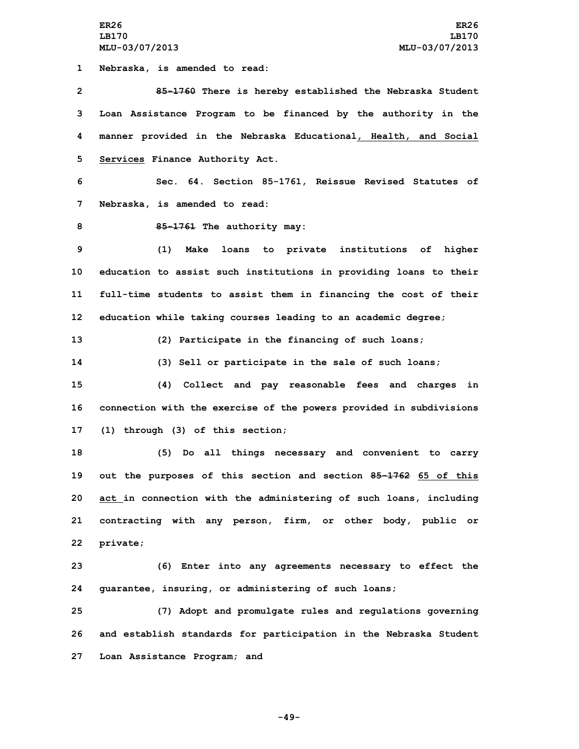**ER26 ER26 LB170 LB170 MLU-03/07/2013 MLU-03/07/2013**

**1 Nebraska, is amended to read:**

 **85-1760 There is hereby established the Nebraska Student Loan Assistance Program to be financed by the authority in the manner provided in the Nebraska Educational, Health, and Social Services Finance Authority Act.**

**6 Sec. 64. Section 85-1761, Reissue Revised Statutes of 7 Nebraska, is amended to read:**

**8 85-1761 The authority may:**

 **(1) Make loans to private institutions of higher education to assist such institutions in providing loans to their full-time students to assist them in financing the cost of their education while taking courses leading to an academic degree;**

**13 (2) Participate in the financing of such loans;**

**14 (3) Sell or participate in the sale of such loans;**

**15 (4) Collect and pay reasonable fees and charges in 16 connection with the exercise of the powers provided in subdivisions 17 (1) through (3) of this section;**

 **(5) Do all things necessary and convenient to carry out the purposes of this section and section 85-1762 65 of this act in connection with the administering of such loans, including contracting with any person, firm, or other body, public or 22 private;**

**23 (6) Enter into any agreements necessary to effect the 24 guarantee, insuring, or administering of such loans;**

**25 (7) Adopt and promulgate rules and regulations governing 26 and establish standards for participation in the Nebraska Student 27 Loan Assistance Program; and**

**-49-**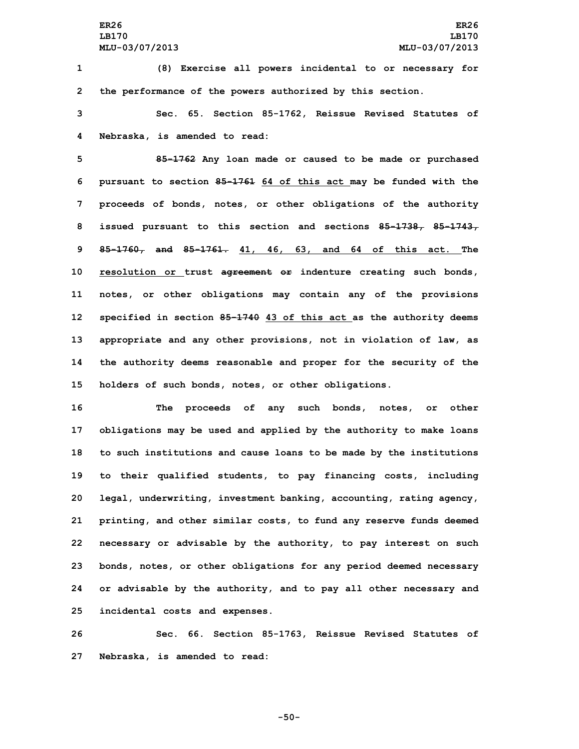**1 (8) Exercise all powers incidental to or necessary for 2 the performance of the powers authorized by this section.**

**3 Sec. 65. Section 85-1762, Reissue Revised Statutes of 4 Nebraska, is amended to read:**

 **85-1762 Any loan made or caused to be made or purchased pursuant to section 85-1761 64 of this act may be funded with the proceeds of bonds, notes, or other obligations of the authority issued pursuant to this section and sections 85-1738, 85-1743, 85-1760, and 85-1761. 41, 46, 63, and 64 of this act. The resolution or trust agreement or indenture creating such bonds, notes, or other obligations may contain any of the provisions specified in section 85-1740 43 of this act as the authority deems appropriate and any other provisions, not in violation of law, as the authority deems reasonable and proper for the security of the holders of such bonds, notes, or other obligations.**

 **The proceeds of any such bonds, notes, or other obligations may be used and applied by the authority to make loans to such institutions and cause loans to be made by the institutions to their qualified students, to pay financing costs, including legal, underwriting, investment banking, accounting, rating agency, printing, and other similar costs, to fund any reserve funds deemed necessary or advisable by the authority, to pay interest on such bonds, notes, or other obligations for any period deemed necessary or advisable by the authority, and to pay all other necessary and incidental costs and expenses.**

**26 Sec. 66. Section 85-1763, Reissue Revised Statutes of 27 Nebraska, is amended to read:**

**-50-**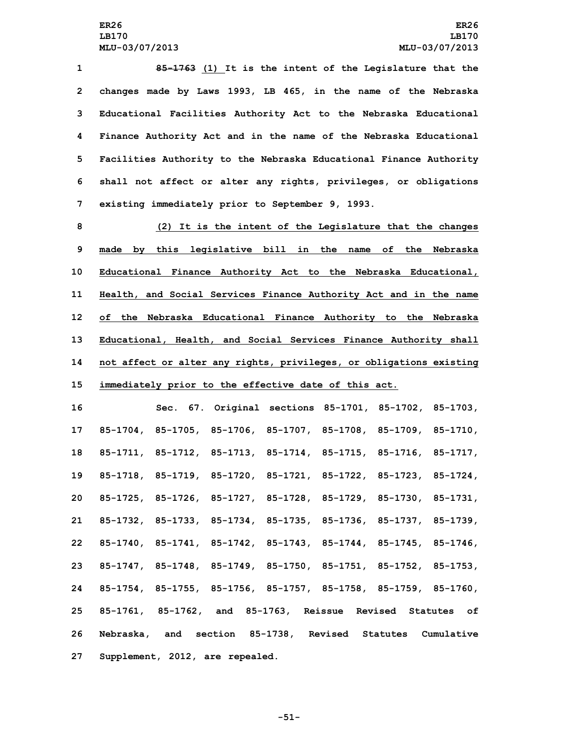**85-1763 (1) It is the intent of the Legislature that the changes made by Laws 1993, LB 465, in the name of the Nebraska Educational Facilities Authority Act to the Nebraska Educational Finance Authority Act and in the name of the Nebraska Educational Facilities Authority to the Nebraska Educational Finance Authority shall not affect or alter any rights, privileges, or obligations existing immediately prior to September 9, 1993.**

 **(2) It is the intent of the Legislature that the changes made by this legislative bill in the name of the Nebraska Educational Finance Authority Act to the Nebraska Educational, Health, and Social Services Finance Authority Act and in the name of the Nebraska Educational Finance Authority to the Nebraska Educational, Health, and Social Services Finance Authority shall not affect or alter any rights, privileges, or obligations existing immediately prior to the effective date of this act.**

 **Sec. 67. Original sections 85-1701, 85-1702, 85-1703, 85-1704, 85-1705, 85-1706, 85-1707, 85-1708, 85-1709, 85-1710, 85-1711, 85-1712, 85-1713, 85-1714, 85-1715, 85-1716, 85-1717, 85-1718, 85-1719, 85-1720, 85-1721, 85-1722, 85-1723, 85-1724, 85-1725, 85-1726, 85-1727, 85-1728, 85-1729, 85-1730, 85-1731, 85-1732, 85-1733, 85-1734, 85-1735, 85-1736, 85-1737, 85-1739, 85-1740, 85-1741, 85-1742, 85-1743, 85-1744, 85-1745, 85-1746, 85-1747, 85-1748, 85-1749, 85-1750, 85-1751, 85-1752, 85-1753, 85-1754, 85-1755, 85-1756, 85-1757, 85-1758, 85-1759, 85-1760, 85-1761, 85-1762, and 85-1763, Reissue Revised Statutes of Nebraska, and section 85-1738, Revised Statutes Cumulative Supplement, 2012, are repealed.**

**-51-**